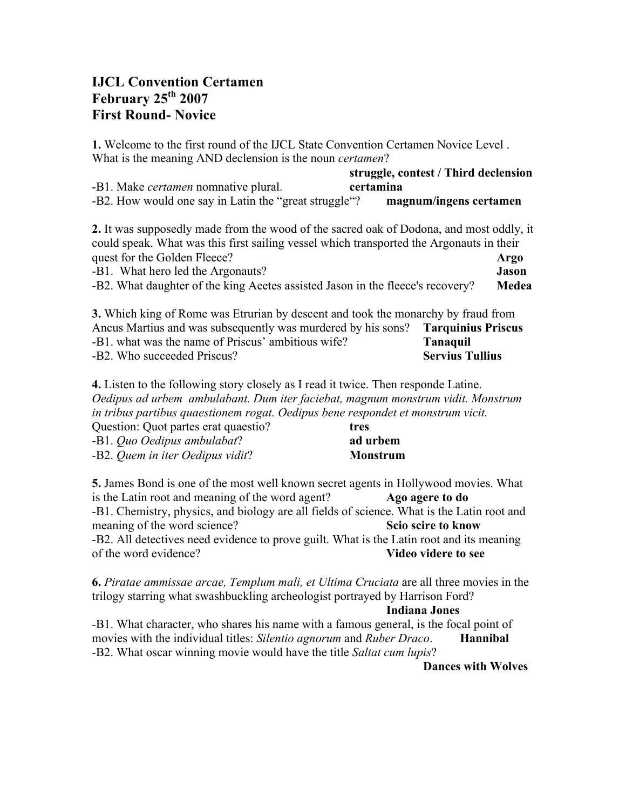# **IJCL Convention Certamen February 25th 2007 First Round- Novice**

**1.** Welcome to the first round of the IJCL State Convention Certamen Novice Level . What is the meaning AND declension is the noun *certamen*? **struggle, contest / Third declension**

|                                                       | struggle, contest / Third declension |
|-------------------------------------------------------|--------------------------------------|
| -B1. Make <i>certamen</i> nomnative plural.           | certamina                            |
| -B2. How would one say in Latin the "great struggle"? | magnum/ingens certamen               |

**2.** It was supposedly made from the wood of the sacred oak of Dodona, and most oddly, it could speak. What was this first sailing vessel which transported the Argonauts in their quest for the Golden Fleece? **Argo** -B1. What hero led the Argonauts? **Jason** -B2. What daughter of the king Aeetes assisted Jason in the fleece's recovery? **Medea**

**3.** Which king of Rome was Etrurian by descent and took the monarchy by fraud from Ancus Martius and was subsequently was murdered by his sons? **Tarquinius Priscus** -B1. what was the name of Priscus' ambitious wife? **Tanaquil** -B2. Who succeeded Priscus? **Servius Tullius**

**4.** Listen to the following story closely as I read it twice. Then responde Latine. *Oedipus ad urbem ambulabant. Dum iter faciebat, magnum monstrum vidit. Monstrum in tribus partibus quaestionem rogat. Oedipus bene respondet et monstrum vicit.*

| Question: Quot partes erat quaestio? | tres            |
|--------------------------------------|-----------------|
| -B1. Quo Oedipus ambulabat?          | ad urbem        |
| -B2. Quem in iter Oedipus vidit?     | <b>Monstrum</b> |

**5.** James Bond is one of the most well known secret agents in Hollywood movies. What is the Latin root and meaning of the word agent? **Ago agere to do** -B1. Chemistry, physics, and biology are all fields of science. What is the Latin root and meaning of the word science? **Scio scire to know** -B2. All detectives need evidence to prove guilt. What is the Latin root and its meaning of the word evidence? **Video videre to see**

**6.** *Piratae ammissae arcae, Templum mali, et Ultima Cruciata* are all three movies in the trilogy starring what swashbuckling archeologist portrayed by Harrison Ford?

## **Indiana Jones**

-B1. What character, who shares his name with a famous general, is the focal point of movies with the individual titles: *Silentio agnorum* and *Ruber Draco*. **Hannibal** -B2. What oscar winning movie would have the title *Saltat cum lupis*?

**Dances with Wolves**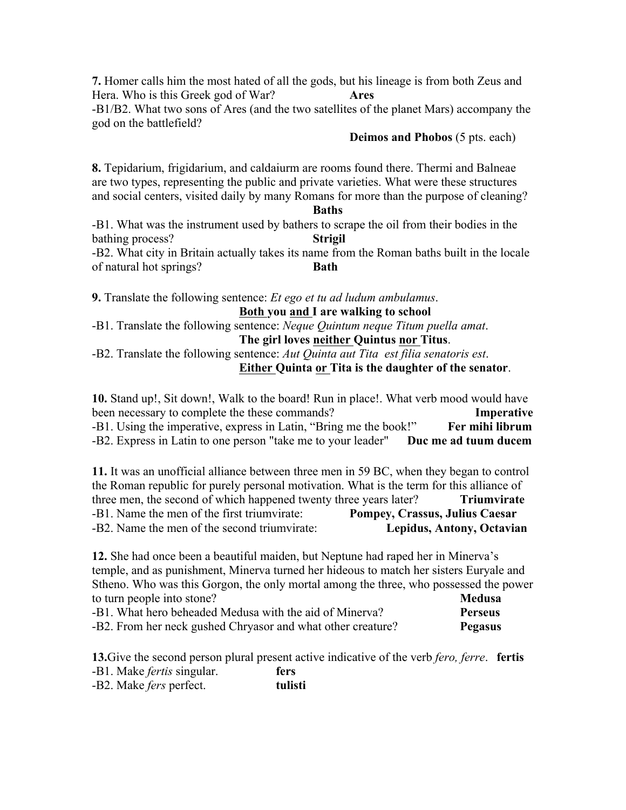**7.** Homer calls him the most hated of all the gods, but his lineage is from both Zeus and Hera. Who is this Greek god of War? **Ares** -B1/B2. What two sons of Ares (and the two satellites of the planet Mars) accompany the god on the battlefield?

**Deimos and Phobos** (5 pts. each)

**8.** Tepidarium, frigidarium, and caldaiurm are rooms found there. Thermi and Balneae are two types, representing the public and private varieties. What were these structures and social centers, visited daily by many Romans for more than the purpose of cleaning?

#### **Baths**

-B1. What was the instrument used by bathers to scrape the oil from their bodies in the bathing process? **Strigil**

-B2. What city in Britain actually takes its name from the Roman baths built in the locale of natural hot springs? **Bath**

**9.** Translate the following sentence: *Et ego et tu ad ludum ambulamus*. **Both you and I are walking to school** 

-B1. Translate the following sentence: *Neque Quintum neque Titum puella amat*. **The girl loves neither Quintus nor Titus**.

-B2. Translate the following sentence: *Aut Quinta aut Tita est filia senatoris est*. **Either Quinta or Tita is the daughter of the senator**.

**10.** Stand up!, Sit down!, Walk to the board! Run in place!. What verb mood would have been necessary to complete the these commands? **Imperative** -B1. Using the imperative, express in Latin, "Bring me the book!" **Fer mihi librum** -B2. Express in Latin to one person "take me to your leader" **Duc me ad tuum ducem**

**11.** It was an unofficial alliance between three men in 59 BC, when they began to control the Roman republic for purely personal motivation. What is the term for this alliance of three men, the second of which happened twenty three years later? **Triumvirate** -B1. Name the men of the first triumvirate: **Pompey, Crassus, Julius Caesar** -B2. Name the men of the second triumvirate: **Lepidus, Antony, Octavian**

**12.** She had once been a beautiful maiden, but Neptune had raped her in Minerva's temple, and as punishment, Minerva turned her hideous to match her sisters Euryale and Stheno. Who was this Gorgon, the only mortal among the three, who possessed the power to turn people into stone? **Medusa**

| -B1. What hero beheaded Medusa with the aid of Minerva?     | <b>Perseus</b> |
|-------------------------------------------------------------|----------------|
| -B2. From her neck gushed Chryasor and what other creature? | <b>Pegasus</b> |

**13.**Give the second person plural present active indicative of the verb *fero, ferre*. **fertis** -B1. Make *fertis* singular. **fers**

-B2. Make *fers* perfect. **tulisti**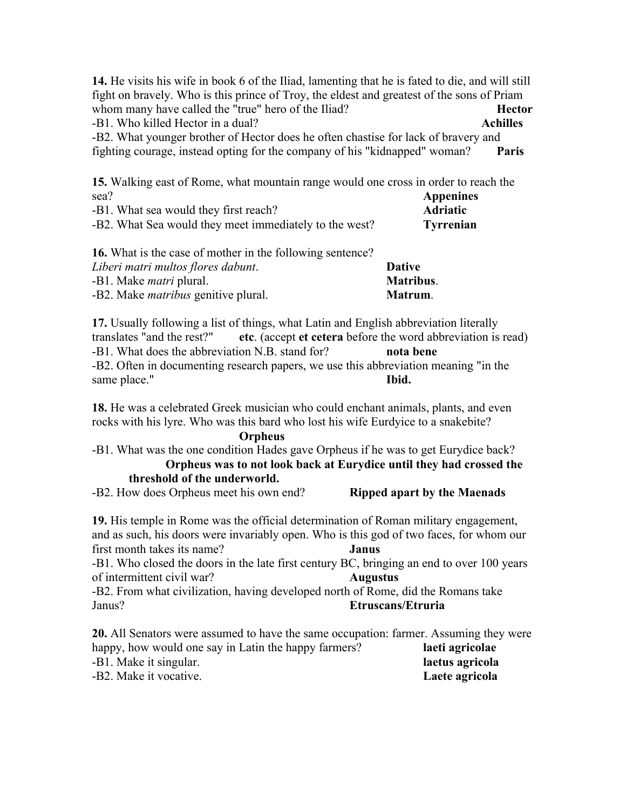**14.** He visits his wife in book 6 of the Iliad, lamenting that he is fated to die, and will still fight on bravely. Who is this prince of Troy, the eldest and greatest of the sons of Priam whom many have called the "true" hero of the Iliad? **Hector** -B1. Who killed Hector in a dual? **Achilles** -B2. What younger brother of Hector does he often chastise for lack of bravery and fighting courage, instead opting for the company of his "kidnapped" woman? **Paris** 

**15.** Walking east of Rome, what mountain range would one cross in order to reach the sea? **Appenines**

| ova:                                                   | дрренние         |
|--------------------------------------------------------|------------------|
| -B1. What sea would they first reach?                  | <b>Adriatic</b>  |
| -B2. What Sea would they meet immediately to the west? | <b>Tyrrenian</b> |

**16.** What is the case of mother in the following sentence?

| Liberi matri multos flores dabunt.         | <b>Dative</b>    |
|--------------------------------------------|------------------|
| -B1. Make <i>matri</i> plural.             | <b>Matribus.</b> |
| -B2. Make <i>matribus</i> genitive plural. | <b>Matrum.</b>   |

**17.** Usually following a list of things, what Latin and English abbreviation literally translates "and the rest?" **etc**. (accept **et cetera** before the word abbreviation is read) -B1. What does the abbreviation N.B. stand for? **nota bene** -B2. Often in documenting research papers, we use this abbreviation meaning "in the same place." **Ibid.** 

**18.** He was a celebrated Greek musician who could enchant animals, plants, and even rocks with his lyre. Who was this bard who lost his wife Eurdyice to a snakebite?

### **Orpheus**

-B1. What was the one condition Hades gave Orpheus if he was to get Eurydice back? **Orpheus was to not look back at Eurydice until they had crossed the threshold of the underworld.**

-B2. How does Orpheus meet his own end? **Ripped apart by the Maenads**

**19.** His temple in Rome was the official determination of Roman military engagement, and as such, his doors were invariably open. Who is this god of two faces, for whom our first month takes its name? **Janus** -B1. Who closed the doors in the late first century BC, bringing an end to over 100 years of intermittent civil war? **Augustus** -B2. From what civilization, having developed north of Rome, did the Romans take Janus? **Etruscans/Etruria**

| <b>20.</b> All Senators were assumed to have the same occupation: farmer. Assuming they were |                 |
|----------------------------------------------------------------------------------------------|-----------------|
| happy, how would one say in Latin the happy farmers?                                         | laeti agricolae |
| -B1. Make it singular.                                                                       | laetus agricola |
| -B2. Make it vocative.                                                                       | Laete agricola  |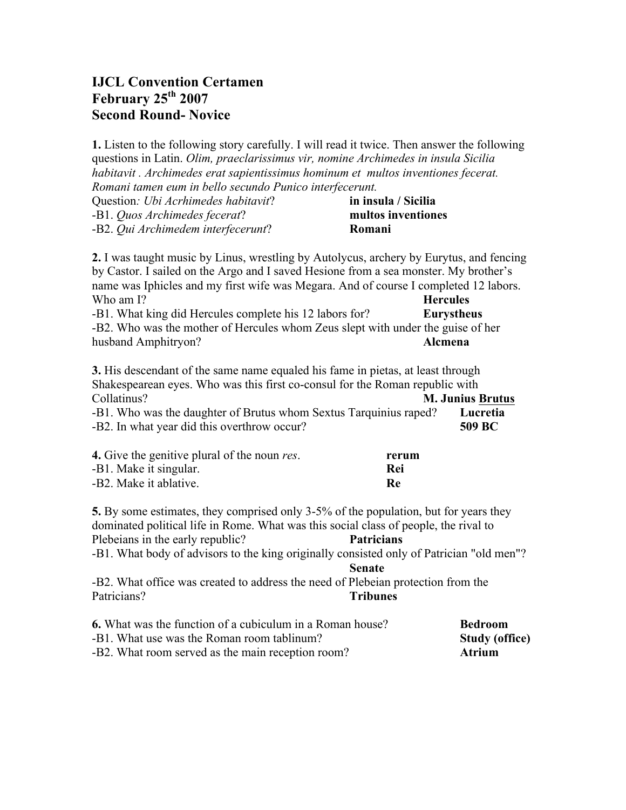# **IJCL Convention Certamen February 25th 2007 Second Round- Novice**

**1.** Listen to the following story carefully. I will read it twice. Then answer the following questions in Latin. *Olim, praeclarissimus vir, nomine Archimedes in insula Sicilia habitavit . Archimedes erat sapientissimus hominum et multos inventiones fecerat. Romani tamen eum in bello secundo Punico interfecerunt.*

Question*: Ubi Acrhimedes habitavit*? **in insula / Sicilia** -B1. *Quos Archimedes fecerat*? **multos inventiones** -B2. *Qui Archimedem interfecerunt*? **Romani**

**2.** I was taught music by Linus, wrestling by Autolycus, archery by Eurytus, and fencing by Castor. I sailed on the Argo and I saved Hesione from a sea monster. My brother's name was Iphicles and my first wife was Megara. And of course I completed 12 labors. Who am I? **Hercules** -B1. What king did Hercules complete his 12 labors for? **Eurystheus** -B2. Who was the mother of Hercules whom Zeus slept with under the guise of her husband Amphitryon? **Alcmena**

**3.** His descendant of the same name equaled his fame in pietas, at least through Shakespearean eyes. Who was this first co-consul for the Roman republic with Collatinus? **M. Junius Brutus** -B1. Who was the daughter of Brutus whom Sextus Tarquinius raped? **Lucretia** -B2. In what year did this overthrow occur? **509 BC** 

| 4. Give the genitive plural of the noun res. | rerum |
|----------------------------------------------|-------|
| -B1. Make it singular.                       | -Rei  |
| -B2. Make it ablative.                       | -Re   |

**5.** By some estimates, they comprised only 3-5% of the population, but for years they dominated political life in Rome. What was this social class of people, the rival to Plebeians in the early republic? **Patricians** -B1. What body of advisors to the king originally consisted only of Patrician "old men"? **Senate**

-B2. What office was created to address the need of Plebeian protection from the Patricians? **Tribunes**

| <b>6.</b> What was the function of a cubiculum in a Roman house? | <b>Bedroom</b>        |
|------------------------------------------------------------------|-----------------------|
| -B1. What use was the Roman room tablinum?                       | <b>Study (office)</b> |
| -B2. What room served as the main reception room?                | Atrium                |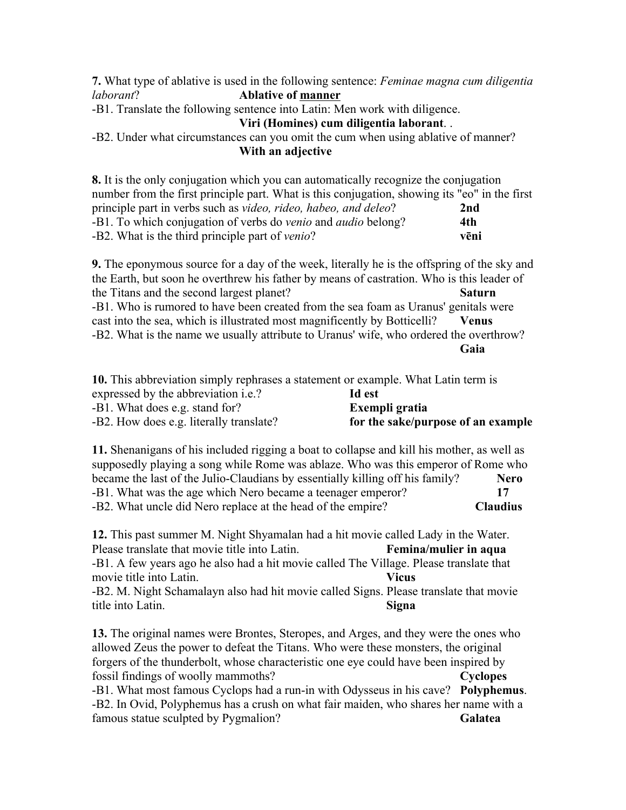**7.** What type of ablative is used in the following sentence: *Feminae magna cum diligentia laborant*? **Ablative of manner**

-B1. Translate the following sentence into Latin: Men work with diligence.

## **Viri (Homines) cum diligentia laborant**. .

-B2. Under what circumstances can you omit the cum when using ablative of manner? **With an adjective**

| <b>8.</b> It is the only conjugation which you can automatically recognize the conjugation      |      |
|-------------------------------------------------------------------------------------------------|------|
| number from the first principle part. What is this conjugation, showing its "eo" in the first   |      |
| principle part in verbs such as <i>video</i> , <i>rideo</i> , <i>habeo</i> , <i>and deleo</i> ? | 2nd  |
| -B1. To which conjugation of verbs do <i>venio</i> and <i>audio</i> belong?                     | 4th  |
| -B2. What is the third principle part of <i>venio</i> ?                                         | vēni |

**9.** The eponymous source for a day of the week, literally he is the offspring of the sky and the Earth, but soon he overthrew his father by means of castration. Who is this leader of the Titans and the second largest planet? **Saturn**  -B1. Who is rumored to have been created from the sea foam as Uranus' genitals were cast into the sea, which is illustrated most magnificently by Botticelli? **Venus** -B2. What is the name we usually attribute to Uranus' wife, who ordered the overthrow? **Gaia**

| 10. This abbreviation simply rephrases a statement or example. What Latin term is |                                    |
|-----------------------------------------------------------------------------------|------------------------------------|
| expressed by the abbreviation <i>i.e.</i> ?                                       | Id est                             |
| -B1. What does e.g. stand for?                                                    | Exempli gratia                     |
| -B2. How does e.g. literally translate?                                           | for the sake/purpose of an example |
|                                                                                   |                                    |

**11.** Shenanigans of his included rigging a boat to collapse and kill his mother, as well as supposedly playing a song while Rome was ablaze. Who was this emperor of Rome who became the last of the Julio-Claudians by essentially killing off his family? **Nero** -B1. What was the age which Nero became a teenager emperor? **17** -B2. What uncle did Nero replace at the head of the empire? **Claudius**

**12.** This past summer M. Night Shyamalan had a hit movie called Lady in the Water. Please translate that movie title into Latin. **Femina/mulier in aqua** -B1. A few years ago he also had a hit movie called The Village. Please translate that

movie title into Latin. **Vicus**

-B2. M. Night Schamalayn also had hit movie called Signs. Please translate that movie title into Latin. **Signa**

**13.** The original names were Brontes, Steropes, and Arges, and they were the ones who allowed Zeus the power to defeat the Titans. Who were these monsters, the original forgers of the thunderbolt, whose characteristic one eye could have been inspired by fossil findings of woolly mammoths? **Cyclopes**

-B1. What most famous Cyclops had a run-in with Odysseus in his cave? **Polyphemus**. -B2. In Ovid, Polyphemus has a crush on what fair maiden, who shares her name with a famous statue sculpted by Pygmalion? **Galatea**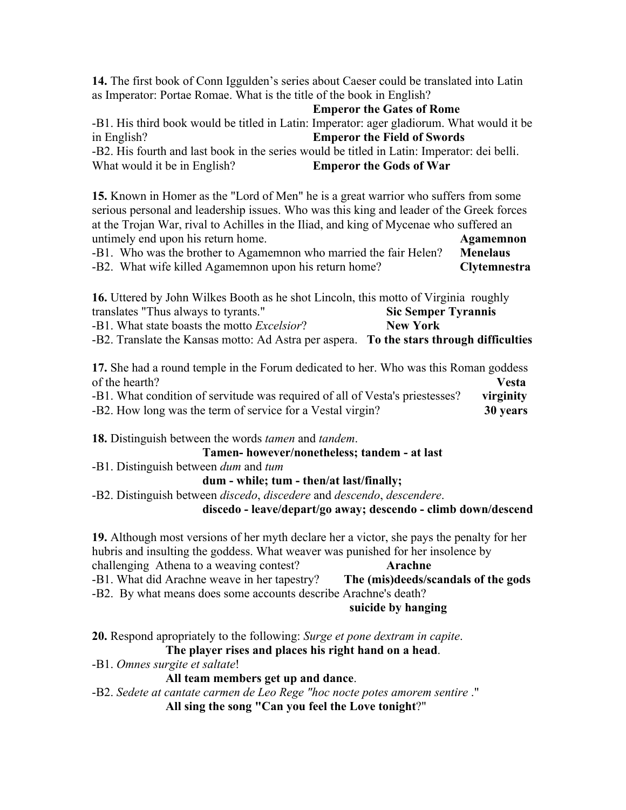**14.** The first book of Conn Iggulden's series about Caeser could be translated into Latin as Imperator: Portae Romae. What is the title of the book in English?

### **Emperor the Gates of Rome**

|                              | -B1. His third book would be titled in Latin: Imperator: ager gladiorum. What would it be   |
|------------------------------|---------------------------------------------------------------------------------------------|
| in English?                  | <b>Emperor the Field of Swords</b>                                                          |
|                              | -B2. His fourth and last book in the series would be titled in Latin: Imperator: dei belli. |
| What would it be in English? | <b>Emperor the Gods of War</b>                                                              |

**15.** Known in Homer as the "Lord of Men" he is a great warrior who suffers from some serious personal and leadership issues. Who was this king and leader of the Greek forces at the Trojan War, rival to Achilles in the Iliad, and king of Mycenae who suffered an untimely end upon his return home. **Agamemnon**

-B1. Who was the brother to Agamemnon who married the fair Helen? **Menelaus**

-B2. What wife killed Agamemnon upon his return home? **Clytemnestra**

**16.** Uttered by John Wilkes Booth as he shot Lincoln, this motto of Virginia roughly translates "Thus always to tyrants." **Sic Semper Tyrannis** -B1. What state boasts the motto *Excelsior*? **New York**

-B2. Translate the Kansas motto: Ad Astra per aspera. **To the stars through difficulties**

**17.** She had a round temple in the Forum dedicated to her. Who was this Roman goddess of the hearth? **Vesta** -B1. What condition of servitude was required of all of Vesta's priestesses? **virginity** -B2. How long was the term of service for a Vestal virgin? **30 years**

**18.** Distinguish between the words *tamen* and *tandem*.

## **Tamen- however/nonetheless; tandem - at last**

-B1. Distinguish between *dum* and *tum*

## **dum - while; tum - then/at last/finally;**

-B2. Distinguish between *discedo*, *discedere* and *descendo*, *descendere*.

### **discedo - leave/depart/go away; descendo - climb down/descend**

**19.** Although most versions of her myth declare her a victor, she pays the penalty for her hubris and insulting the goddess. What weaver was punished for her insolence by challenging Athena to a weaving contest? **Arachne**

-B1. What did Arachne weave in her tapestry? **The (mis)deeds/scandals of the gods**

-B2. By what means does some accounts describe Arachne's death?

# **suicide by hanging**

**20.** Respond apropriately to the following: *Surge et pone dextram in capite*.

# **The player rises and places his right hand on a head**.

-B1. *Omnes surgite et saltate*!

## **All team members get up and dance**.

-B2. *Sedete at cantate carmen de Leo Rege "hoc nocte potes amorem sentire* ." **All sing the song "Can you feel the Love tonight**?"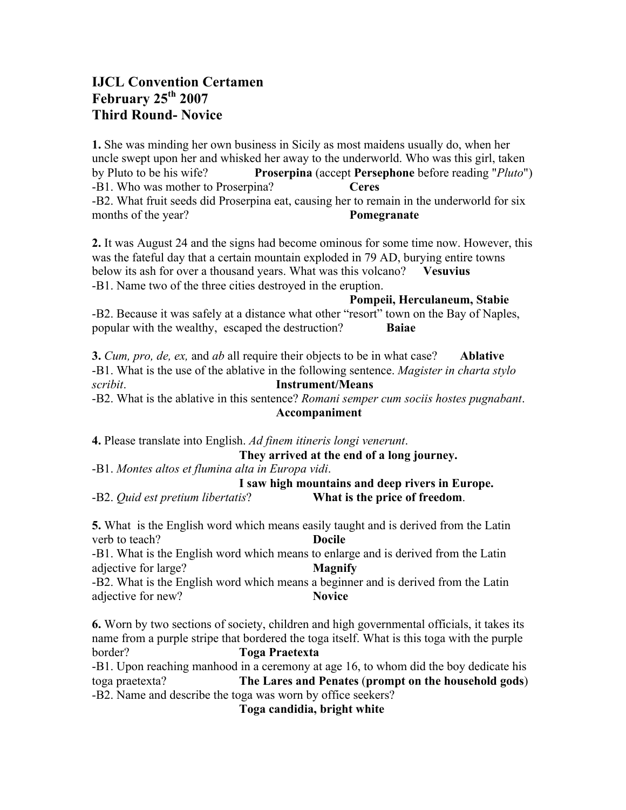# **IJCL Convention Certamen February 25th 2007 Third Round- Novice**

**1.** She was minding her own business in Sicily as most maidens usually do, when her uncle swept upon her and whisked her away to the underworld. Who was this girl, taken by Pluto to be his wife? **Proserpina** (accept **Persephone** before reading "*Pluto*") -B1. Who was mother to Proserpina? **Ceres** -B2. What fruit seeds did Proserpina eat, causing her to remain in the underworld for six months of the year? **Pomegranate**

**2.** It was August 24 and the signs had become ominous for some time now. However, this was the fateful day that a certain mountain exploded in 79 AD, burying entire towns below its ash for over a thousand years. What was this volcano? **Vesuvius** -B1. Name two of the three cities destroyed in the eruption.

### **Pompeii, Herculaneum, Stabie**

-B2. Because it was safely at a distance what other "resort" town on the Bay of Naples, popular with the wealthy, escaped the destruction? **Baiae** 

**3.** *Cum, pro, de, ex,* and *ab* all require their objects to be in what case? **Ablative** -B1. What is the use of the ablative in the following sentence. *Magister in charta stylo scribit*. **Instrument/Means**

-B2. What is the ablative in this sentence? *Romani semper cum sociis hostes pugnabant*. **Accompaniment**

**4.** Please translate into English. *Ad finem itineris longi venerunt*.

**They arrived at the end of a long journey.**

-B1. *Montes altos et flumina alta in Europa vidi*.

**I saw high mountains and deep rivers in Europe.** -B2. *Quid est pretium libertatis*? **What is the price of freedom**.

**5.** What is the English word which means easily taught and is derived from the Latin verb to teach? **Docile**

-B1. What is the English word which means to enlarge and is derived from the Latin adjective for large? **Magnify**

-B2. What is the English word which means a beginner and is derived from the Latin adjective for new? **Novice**

**6.** Worn by two sections of society, children and high governmental officials, it takes its name from a purple stripe that bordered the toga itself. What is this toga with the purple border? **Toga Praetexta**

-B1. Upon reaching manhood in a ceremony at age 16, to whom did the boy dedicate his toga praetexta? **The Lares and Penates** (**prompt on the household gods**) -B2. Name and describe the toga was worn by office seekers?

**Toga candidia, bright white**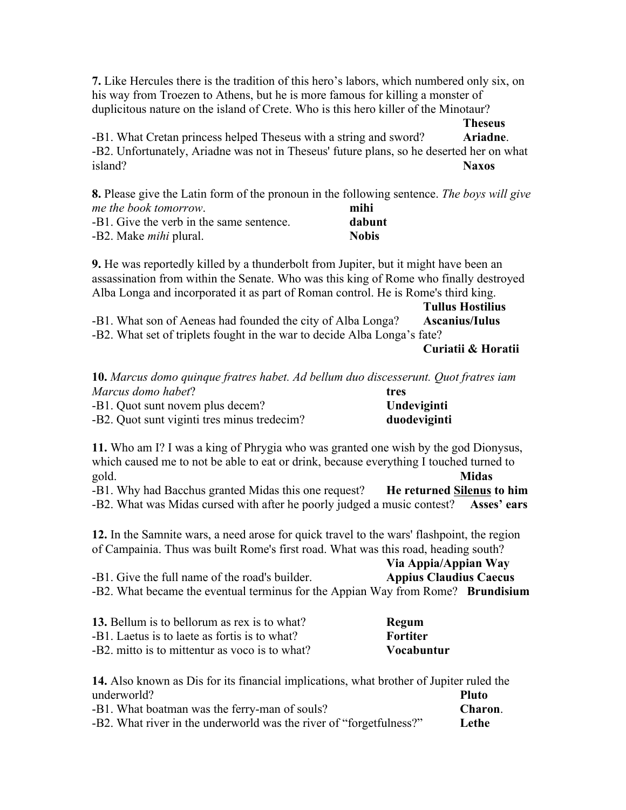**7.** Like Hercules there is the tradition of this hero's labors, which numbered only six, on his way from Troezen to Athens, but he is more famous for killing a monster of duplicitous nature on the island of Crete. Who is this hero killer of the Minotaur?

-B1. What Cretan princess helped Theseus with a string and sword? **Ariadne**. -B2. Unfortunately, Ariadne was not in Theseus' future plans, so he deserted her on what island? **Naxos**

**8.** Please give the Latin form of the pronoun in the following sentence. *The boys will give me the book tomorrow*. **mihi** -B1. Give the verb in the same sentence. **dabunt** -B2. Make *mihi* plural. **Nobis**

**9.** He was reportedly killed by a thunderbolt from Jupiter, but it might have been an assassination from within the Senate. Who was this king of Rome who finally destroyed Alba Longa and incorporated it as part of Roman control. He is Rome's third king.

**Tullus Hostilius**

-B1. What son of Aeneas had founded the city of Alba Longa? **Ascanius/Iulus**

-B2. What set of triplets fought in the war to decide Alba Longa's fate?

**Curiatii & Horatii** 

**Theseus**

|                                  | <b>10.</b> Marcus domo quinque fratres habet. Ad bellum duo discesserunt. Quot fratres iam |
|----------------------------------|--------------------------------------------------------------------------------------------|
| Marcus domo habet?               | tres                                                                                       |
| -B1. Quot sunt novem plus decem? | <b>Undeviginti</b>                                                                         |

| and the same contract the problem of the same of the same of the same of the same of the same of the same of the |              |
|------------------------------------------------------------------------------------------------------------------|--------------|
| -B2. Quot sunt viginti tres minus tredecim?                                                                      | duodeviginti |

**11.** Who am I? I was a king of Phrygia who was granted one wish by the god Dionysus, which caused me to not be able to eat or drink, because everything I touched turned to gold. **Midas**

-B1. Why had Bacchus granted Midas this one request? **He returned Silenus to him** -B2. What was Midas cursed with after he poorly judged a music contest? **Asses' ears**

**12.** In the Samnite wars, a need arose for quick travel to the wars' flashpoint, the region of Campainia. Thus was built Rome's first road. What was this road, heading south?

**Via Appia/Appian Way** -B1. Give the full name of the road's builder. **Appius Claudius Caecus** -B2. What became the eventual terminus for the Appian Way from Rome? **Brundisium**

| 13. Bellum is to bellorum as rex is to what?   | Regum      |
|------------------------------------------------|------------|
| -B1. Laetus is to laete as fortis is to what?  | Fortiter   |
| -B2, mitto is to mittentur as voco is to what? | Vocabuntur |

| 14. Also known as Dis for its financial implications, what brother of Jupiter ruled the |                |
|-----------------------------------------------------------------------------------------|----------------|
| underworld?                                                                             | Pluto          |
| -B1. What boatman was the ferry-man of souls?                                           | <b>Charon.</b> |
| -B2. What river in the underworld was the river of "forgetfulness?"                     | Lethe          |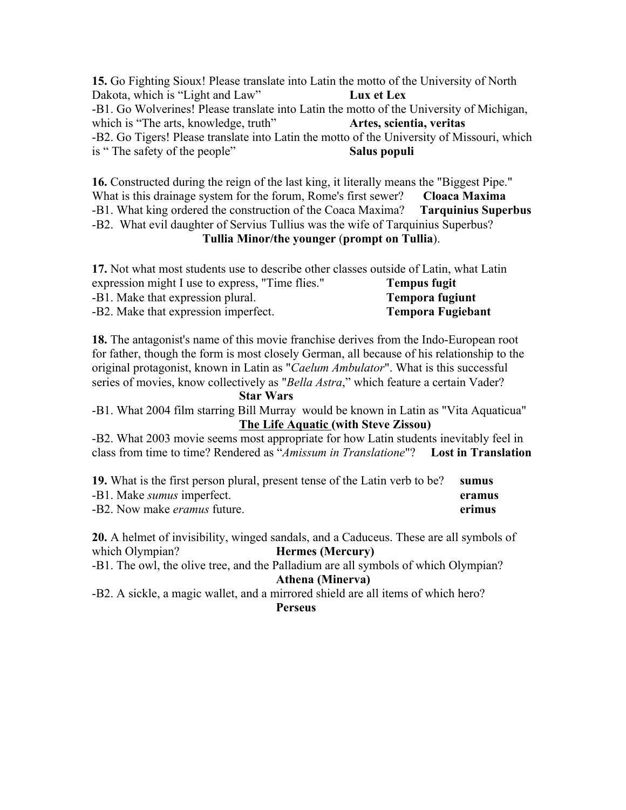**15.** Go Fighting Sioux! Please translate into Latin the motto of the University of North Dakota, which is "Light and Law" **Lux et Lex** -B1. Go Wolverines! Please translate into Latin the motto of the University of Michigan, which is "The arts, knowledge, truth" **Artes, scientia, veritas** -B2. Go Tigers! Please translate into Latin the motto of the University of Missouri, which is " The safety of the people" **Salus populi**

**16.** Constructed during the reign of the last king, it literally means the "Biggest Pipe." What is this drainage system for the forum, Rome's first sewer? **Cloaca Maxima** -B1. What king ordered the construction of the Coaca Maxima? **Tarquinius Superbus** -B2. What evil daughter of Servius Tullius was the wife of Tarquinius Superbus? **Tullia Minor/the younger** (**prompt on Tullia**).

**17.** Not what most students use to describe other classes outside of Latin, what Latin expression might I use to express, "Time flies." **Tempus fugit**  -B1. Make that expression plural. **Tempora fugiunt**  -B2. Make that expression imperfect. **Tempora Fugiebant**

**18.** The antagonist's name of this movie franchise derives from the Indo-European root for father, though the form is most closely German, all because of his relationship to the original protagonist, known in Latin as "*Caelum Ambulator*". What is this successful series of movies, know collectively as "*Bella Astra*," which feature a certain Vader?

#### **Star Wars**

-B1. What 2004 film starring Bill Murray would be known in Latin as "Vita Aquaticua" **The Life Aquatic (with Steve Zissou)**

-B2. What 2003 movie seems most appropriate for how Latin students inevitably feel in class from time to time? Rendered as "*Amissum in Translatione*"? **Lost in Translation**

| 19. What is the first person plural, present tense of the Latin verb to be? | sumus  |
|-----------------------------------------------------------------------------|--------|
| -B1. Make <i>sumus</i> imperfect.                                           | eramus |
| -B2. Now make <i>eramus</i> future.                                         | erimus |

**20.** A helmet of invisibility, winged sandals, and a Caduceus. These are all symbols of which Olympian? **Hermes (Mercury)** 

-B1. The owl, the olive tree, and the Palladium are all symbols of which Olympian? **Athena (Minerva)**

-B2. A sickle, a magic wallet, and a mirrored shield are all items of which hero? **Perseus**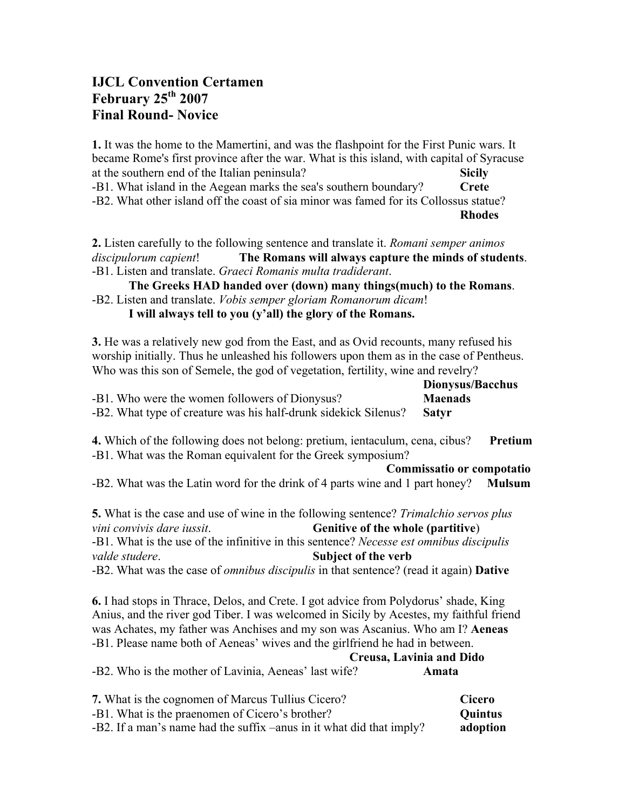# **IJCL Convention Certamen February 25th 2007 Final Round- Novice**

**1.** It was the home to the Mamertini, and was the flashpoint for the First Punic wars. It became Rome's first province after the war. What is this island, with capital of Syracuse at the southern end of the Italian peninsula? **Sicily** -B1. What island in the Aegean marks the sea's southern boundary? **Crete**  -B2. What other island off the coast of sia minor was famed for its Collossus statue? **Rhodes**

**2.** Listen carefully to the following sentence and translate it. *Romani semper animos discipulorum capient*! **The Romans will always capture the minds of students**. -B1. Listen and translate. *Graeci Romanis multa tradiderant*.

**The Greeks HAD handed over (down) many things(much) to the Romans**. -B2. Listen and translate. *Vobis semper gloriam Romanorum dicam*! **I will always tell to you (y'all) the glory of the Romans.** 

**3.** He was a relatively new god from the East, and as Ovid recounts, many refused his worship initially. Thus he unleashed his followers upon them as in the case of Pentheus. Who was this son of Semele, the god of vegetation, fertility, wine and revelry?

|                                                                  | Dionysus/Bacchus |
|------------------------------------------------------------------|------------------|
| -B1. Who were the women followers of Dionysus?                   | <b>Maenads</b>   |
| -B2. What type of creature was his half-drunk side kick Silenus? | <b>Satvr</b>     |

**4.** Which of the following does not belong: pretium, ientaculum, cena, cibus? **Pretium** -B1. What was the Roman equivalent for the Greek symposium?

**Commissatio or compotatio**

-B2. What was the Latin word for the drink of 4 parts wine and 1 part honey? **Mulsum**

**5.** What is the case and use of wine in the following sentence? *Trimalchio servos plus vini convivis dare iussit*. **Genitive of the whole (partitive**) -B1. What is the use of the infinitive in this sentence? *Necesse est omnibus discipulis valde studere*. **Subject of the verb**

-B2. What was the case of *omnibus discipulis* in that sentence? (read it again) **Dative**

**6.** I had stops in Thrace, Delos, and Crete. I got advice from Polydorus' shade, King Anius, and the river god Tiber. I was welcomed in Sicily by Acestes, my faithful friend was Achates, my father was Anchises and my son was Ascanius. Who am I? **Aeneas** -B1. Please name both of Aeneas' wives and the girlfriend he had in between.

## **Creusa, Lavinia and Dido**

-B2. Who is the mother of Lavinia, Aeneas' last wife? **Amata**

| 7. What is the cognomen of Marcus Tullius Cicero?                    | <b>Cicero</b>  |
|----------------------------------------------------------------------|----------------|
| -B1. What is the praenomen of Cicero's brother?                      | <b>Quintus</b> |
| -B2. If a man's name had the suffix –anus in it what did that imply? | adoption       |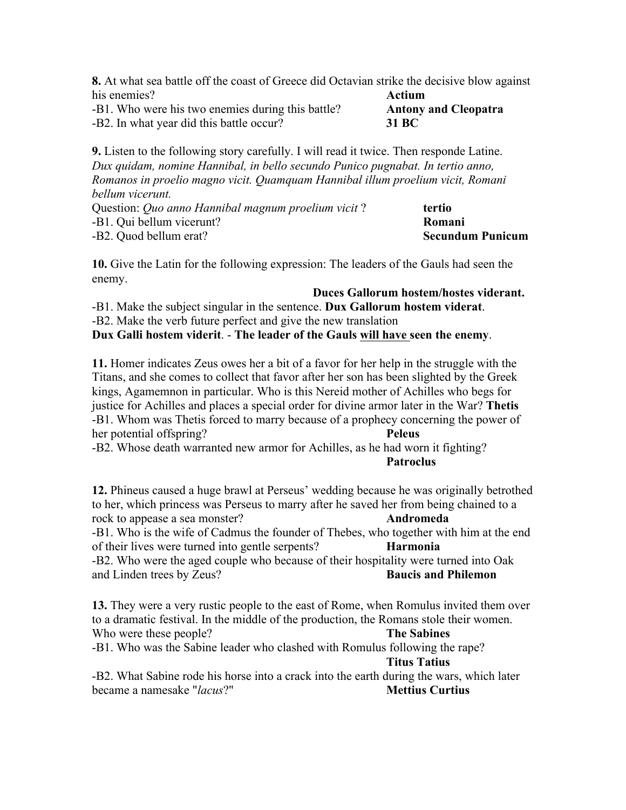**8.** At what sea battle off the coast of Greece did Octavian strike the decisive blow against his enemies? **Actium** -B1. Who were his two enemies during this battle? **Antony and Cleopatra**

-B2. In what year did this battle occur? **31 BC**

**9.** Listen to the following story carefully. I will read it twice. Then responde Latine. *Dux quidam, nomine Hannibal, in bello secundo Punico pugnabat. In tertio anno, Romanos in proelio magno vicit. Quamquam Hannibal illum proelium vicit, Romani bellum vicerunt.*

| Question: Quo anno Hannibal magnum proelium vicit? | tertio                  |
|----------------------------------------------------|-------------------------|
| -B1. Qui bellum vicerunt?                          | Romani                  |
| -B2. Quod bellum erat?                             | <b>Secundum Punicum</b> |

**10.** Give the Latin for the following expression: The leaders of the Gauls had seen the enemy.

**Duces Gallorum hostem/hostes viderant.** 

-B1. Make the subject singular in the sentence. **Dux Gallorum hostem viderat**. -B2. Make the verb future perfect and give the new translation

**Dux Galli hostem viderit**. - **The leader of the Gauls will have seen the enemy**.

**11.** Homer indicates Zeus owes her a bit of a favor for her help in the struggle with the Titans, and she comes to collect that favor after her son has been slighted by the Greek kings, Agamemnon in particular. Who is this Nereid mother of Achilles who begs for justice for Achilles and places a special order for divine armor later in the War? **Thetis** -B1. Whom was Thetis forced to marry because of a prophecy concerning the power of her potential offspring? **Peleus** -B2. Whose death warranted new armor for Achilles, as he had worn it fighting?

**Patroclus**

**12.** Phineus caused a huge brawl at Perseus' wedding because he was originally betrothed to her, which princess was Perseus to marry after he saved her from being chained to a rock to appease a sea monster? **Andromeda**

-B1. Who is the wife of Cadmus the founder of Thebes, who together with him at the end of their lives were turned into gentle serpents? **Harmonia**

-B2. Who were the aged couple who because of their hospitality were turned into Oak and Linden trees by Zeus? **Baucis and Philemon**

**13.** They were a very rustic people to the east of Rome, when Romulus invited them over to a dramatic festival. In the middle of the production, the Romans stole their women. Who were these people? **The Sabines**

-B1. Who was the Sabine leader who clashed with Romulus following the rape?

# **Titus Tatius**

-B2. What Sabine rode his horse into a crack into the earth during the wars, which later became a namesake "*lacus*?" **Mettius Curtius**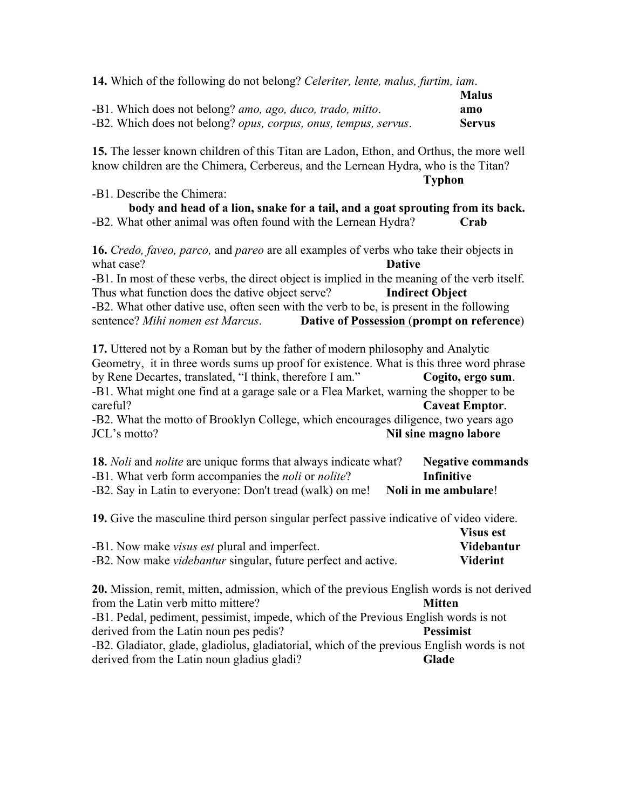| <b>14.</b> Which of the following do not belong? Celeriter, lente, malus, furtim, iam. |               |
|----------------------------------------------------------------------------------------|---------------|
|                                                                                        | <b>Malus</b>  |
| -B1. Which does not belong? amo, ago, duco, trado, mitto.                              | amo           |
| -B2. Which does not belong? opus, corpus, onus, tempus, servus.                        | <b>Servus</b> |

**15.** The lesser known children of this Titan are Ladon, Ethon, and Orthus, the more well know children are the Chimera, Cerbereus, and the Lernean Hydra, who is the Titan?

-B1. Describe the Chimera:

**body and head of a lion, snake for a tail, and a goat sprouting from its back.** -B2. What other animal was often found with the Lernean Hydra? **Crab**

**16.** *Credo, faveo, parco,* and *pareo* are all examples of verbs who take their objects in what case? **Dative** -B1. In most of these verbs, the direct object is implied in the meaning of the verb itself. Thus what function does the dative object serve? **Indirect Object** -B2. What other dative use, often seen with the verb to be, is present in the following sentence? *Mihi nomen est Marcus*. **Dative of Possession** (**prompt on reference**)

**17.** Uttered not by a Roman but by the father of modern philosophy and Analytic Geometry, it in three words sums up proof for existence. What is this three word phrase by Rene Decartes, translated, "I think, therefore I am." **Cogito, ergo sum**. -B1. What might one find at a garage sale or a Flea Market, warning the shopper to be careful? **Caveat Emptor**.

-B2. What the motto of Brooklyn College, which encourages diligence, two years ago JCL's motto? **Nil sine magno labore**

| <b>18.</b> <i>Noli</i> and <i>nolite</i> are unique forms that always indicate what? | <b>Negative commands</b> |
|--------------------------------------------------------------------------------------|--------------------------|
| -B1. What verb form accompanies the <i>noli</i> or <i>nolite</i> ?                   | Infinitive               |
| -B2. Say in Latin to everyone: Don't tread (walk) on me!                             | Noli in me ambulare!     |

**19.** Give the masculine third person singular perfect passive indicative of video videre.

|                                                                      | <b>Visus est</b> |
|----------------------------------------------------------------------|------------------|
| -B1. Now make <i>visus est</i> plural and imperfect.                 | Videbantur       |
| -B2. Now make <i>videbantur</i> singular, future perfect and active. | <b>Viderint</b>  |

**20.** Mission, remit, mitten, admission, which of the previous English words is not derived from the Latin verb mitto mittere? **Mitten**

-B1. Pedal, pediment, pessimist, impede, which of the Previous English words is not derived from the Latin noun pes pedis? **Pessimist**

-B2. Gladiator, glade, gladiolus, gladiatorial, which of the previous English words is not derived from the Latin noun gladius gladi? **Glade**

**Typhon**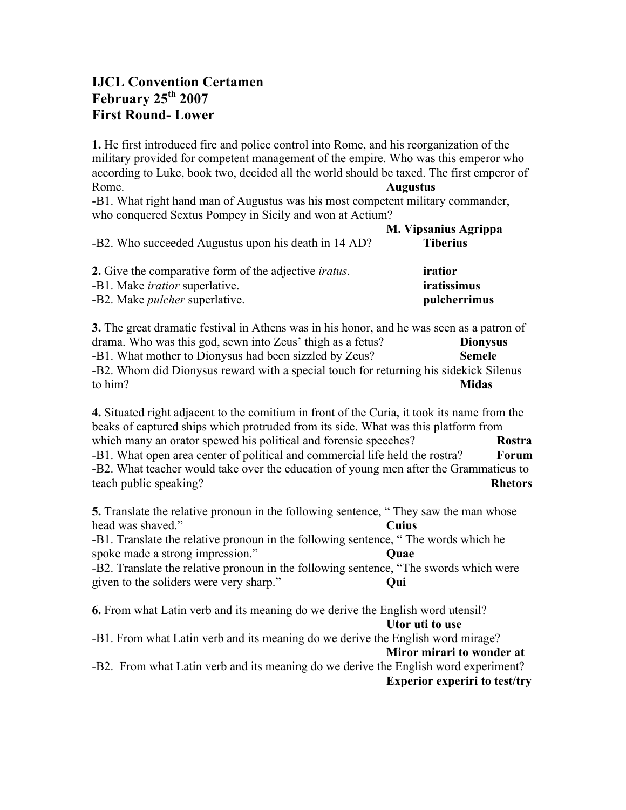# **IJCL Convention Certamen February 25th 2007 First Round- Lower**

**1.** He first introduced fire and police control into Rome, and his reorganization of the military provided for competent management of the empire. Who was this emperor who according to Luke, book two, decided all the world should be taxed. The first emperor of Rome. **Augustus**

-B1. What right hand man of Augustus was his most competent military commander, who conquered Sextus Pompey in Sicily and won at Actium?

| -B2. Who succeeded Augustus upon his death in 14 AD?          | <b>M. Vipsanius Agrippa</b><br><b>Tiberius</b> |
|---------------------------------------------------------------|------------------------------------------------|
| 2. Give the comparative form of the adjective <i>iratus</i> . | iratior                                        |
| -B1. Make <i>iratior</i> superlative.                         | iratissimus                                    |
| -B2. Make <i>pulcher</i> superlative.                         | pulcherrimus                                   |

**3.** The great dramatic festival in Athens was in his honor, and he was seen as a patron of drama. Who was this god, sewn into Zeus' thigh as a fetus? **Dionysus** -B1. What mother to Dionysus had been sizzled by Zeus? **Semele** -B2. Whom did Dionysus reward with a special touch for returning his sidekick Silenus to him? **Midas**

**4.** Situated right adjacent to the comitium in front of the Curia, it took its name from the beaks of captured ships which protruded from its side. What was this platform from which many an orator spewed his political and forensic speeches? **Rostra** -B1. What open area center of political and commercial life held the rostra? **Forum** -B2. What teacher would take over the education of young men after the Grammaticus to teach public speaking? **Rhetors** 

**5.** Translate the relative pronoun in the following sentence, "They saw the man whose head was shaved." **Cuius**

-B1. Translate the relative pronoun in the following sentence, " The words which he spoke made a strong impression." **Quae** 

-B2. Translate the relative pronoun in the following sentence, "The swords which were given to the soliders were very sharp." **Qui**

**6.** From what Latin verb and its meaning do we derive the English word utensil? **Utor uti to use**

-B1. From what Latin verb and its meaning do we derive the English word mirage? **Miror mirari to wonder at**

-B2. From what Latin verb and its meaning do we derive the English word experiment? **Experior experiri to test/try**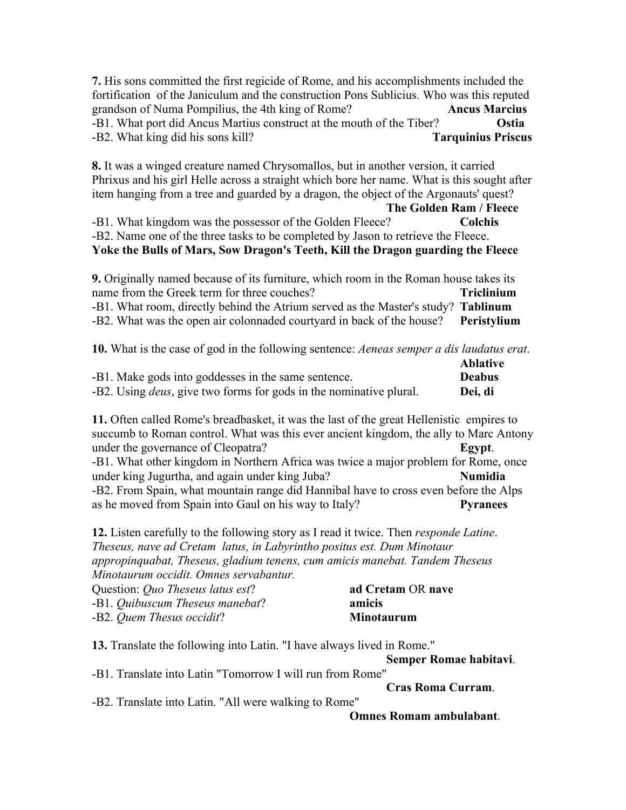**7.** His sons committed the first regicide of Rome, and his accomplishments included the fortification of the Janiculum and the construction Pons Sublicius. Who was this reputed grandson of Numa Pompilius, the 4th king of Rome? **Ancus Marcius** -B1. What port did Ancus Martius construct at the mouth of the Tiber? **Ostia** -B2. What king did his sons kill? **Tarquinius Priscus**

**8.** It was a winged creature named Chrysomallos, but in another version, it carried Phrixus and his girl Helle across a straight which bore her name. What is this sought after item hanging from a tree and guarded by a dragon, the object of the Argonauts' quest?

### **The Golden Ram / Fleece**

-B1. What kingdom was the possessor of the Golden Fleece? **Colchis** -B2. Name one of the three tasks to be completed by Jason to retrieve the Fleece. **Yoke the Bulls of Mars, Sow Dragon's Teeth, Kill the Dragon guarding the Fleece**

**9.** Originally named because of its furniture, which room in the Roman house takes its name from the Greek term for three couches? **Triclinium** -B1. What room, directly behind the Atrium served as the Master's study? **Tablinum** -B2. What was the open air colonnaded courtyard in back of the house? **Peristylium**

**10.** What is the case of god in the following sentence: *Aeneas semper a dis laudatus erat*.

|                                                                            | <b>Ablative</b> |
|----------------------------------------------------------------------------|-----------------|
| -B1. Make gods into goddesses in the same sentence.                        | <b>Deabus</b>   |
| -B2. Using <i>deus</i> , give two forms for gods in the nominative plural. | Dei, di         |

**11.** Often called Rome's breadbasket, it was the last of the great Hellenistic empires to succumb to Roman control. What was this ever ancient kingdom, the ally to Marc Antony under the governance of Cleopatra? **Egypt**. -B1. What other kingdom in Northern Africa was twice a major problem for Rome, once under king Jugurtha, and again under king Juba? **Numidia** -B2. From Spain, what mountain range did Hannibal have to cross even before the Alps as he moved from Spain into Gaul on his way to Italy? **Pyranees**

**12.** Listen carefully to the following story as I read it twice. Then *responde Latine*. *Theseus, nave ad Cretam latus, in Labyrintho positus est. Dum Minotaur appropinquabat, Theseus, gladium tenens, cum amicis manebat. Tandem Theseus Minotaurum occidit. Omnes servabantur.* 

| Question: <i>Quo Theseus latus est</i> ? | ad Cretam OR nave |
|------------------------------------------|-------------------|
| -B1. Quibuscum Theseus manebat?          | amicis            |
| -B2. Quem Thesus occidit?                | <b>Minotaurum</b> |

**13.** Translate the following into Latin. "I have always lived in Rome."

**Semper Romae habitavi**.

-B1. Translate into Latin "Tomorrow I will run from Rome"

**Cras Roma Curram**.

-B2. Translate into Latin. "All were walking to Rome"

**Omnes Romam ambulabant**.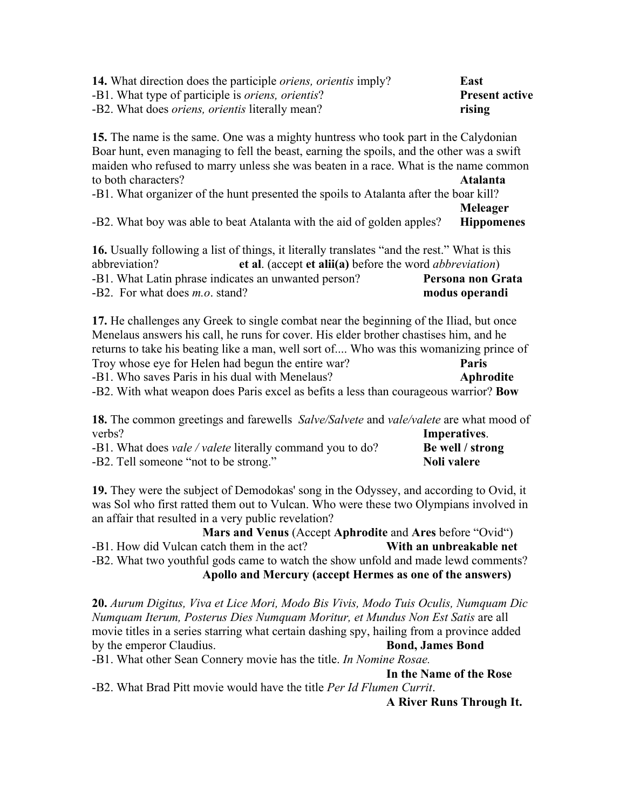| <b>14.</b> What direction does the participle <i>oriens</i> , <i>orientis</i> imply? | East                  |
|--------------------------------------------------------------------------------------|-----------------------|
| -B1. What type of participle is <i>oriens</i> , <i>orientis</i> ?                    | <b>Present active</b> |
| -B2. What does <i>oriens</i> , <i>orientis</i> literally mean?                       | rising                |

**15.** The name is the same. One was a mighty huntress who took part in the Calydonian Boar hunt, even managing to fell the beast, earning the spoils, and the other was a swift maiden who refused to marry unless she was beaten in a race. What is the name common to both characters? **Atalanta**

-B1. What organizer of the hunt presented the spoils to Atalanta after the boar kill?

**Meleager** -B2. What boy was able to beat Atalanta with the aid of golden apples? **Hippomenes**

**16.** Usually following a list of things, it literally translates "and the rest." What is this abbreviation? **et al**. (accept **et alii(a)** before the word *abbreviation*) -B1. What Latin phrase indicates an unwanted person? **Persona non Grata** -B2. For what does *m.o*. stand? **modus operandi**

**17.** He challenges any Greek to single combat near the beginning of the Iliad, but once Menelaus answers his call, he runs for cover. His elder brother chastises him, and he returns to take his beating like a man, well sort of.... Who was this womanizing prince of Troy whose eye for Helen had begun the entire war? **Paris**  -B1. Who saves Paris in his dual with Menelaus? **Aphrodite** -B2. With what weapon does Paris excel as befits a less than courageous warrior? **Bow**

**18.** The common greetings and farewells *Salve/Salvete* and *vale/valete* are what mood of verbs? **Imperatives**.

| .                                                                       | THEP OF WALL AND        |
|-------------------------------------------------------------------------|-------------------------|
| -B1. What does <i>vale</i> / <i>valete</i> literally command you to do? | <b>Be</b> well / strong |
| -B2. Tell someone "not to be strong."                                   | Noli valere             |

**19.** They were the subject of Demodokas' song in the Odyssey, and according to Ovid, it was Sol who first ratted them out to Vulcan. Who were these two Olympians involved in an affair that resulted in a very public revelation?

**Mars and Venus** (Accept **Aphrodite** and **Ares** before "Ovid") -B1. How did Vulcan catch them in the act? **With an unbreakable net** -B2. What two youthful gods came to watch the show unfold and made lewd comments? **Apollo and Mercury (accept Hermes as one of the answers)**

**20.** *Aurum Digitus, Viva et Lice Mori, Modo Bis Vivis, Modo Tuis Oculis, Numquam Dic Numquam Iterum, Posterus Dies Numquam Moritur, et Mundus Non Est Satis* are all movie titles in a series starring what certain dashing spy, hailing from a province added by the emperor Claudius. **Bond, James Bond** 

-B1. What other Sean Connery movie has the title. *In Nomine Rosae.* 

**In the Name of the Rose**

-B2. What Brad Pitt movie would have the title *Per Id Flumen Currit*.

**A River Runs Through It.**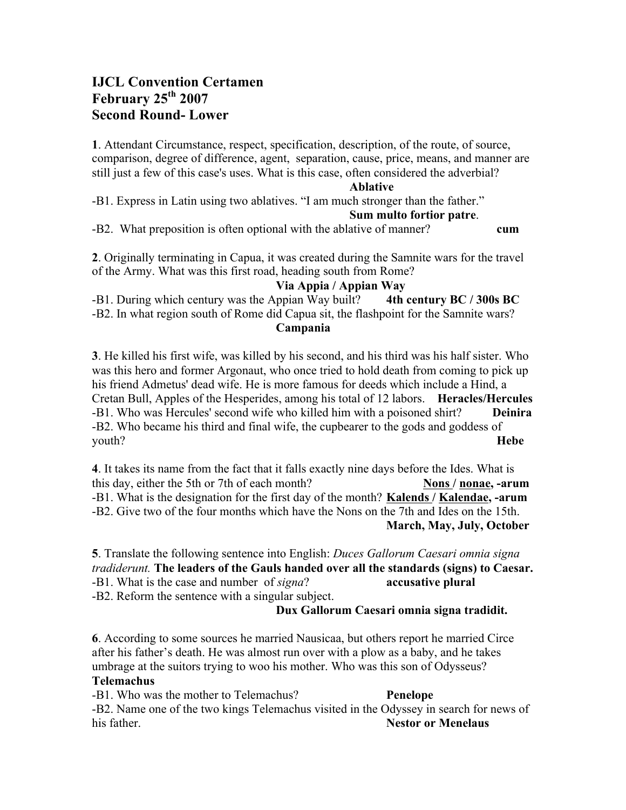# **IJCL Convention Certamen February 25th 2007 Second Round- Lower**

**1**. Attendant Circumstance, respect, specification, description, of the route, of source, comparison, degree of difference, agent, separation, cause, price, means, and manner are still just a few of this case's uses. What is this case, often considered the adverbial?

### **Ablative**

-B1. Express in Latin using two ablatives. "I am much stronger than the father." **Sum multo fortior patre**.

-B2. What preposition is often optional with the ablative of manner? **cum**

**2**. Originally terminating in Capua, it was created during the Samnite wars for the travel of the Army. What was this first road, heading south from Rome?

### **Via Appia / Appian Way**

-B1. During which century was the Appian Way built? **4th century BC / 300s BC** -B2. In what region south of Rome did Capua sit, the flashpoint for the Samnite wars?

#### **Campania**

**3**. He killed his first wife, was killed by his second, and his third was his half sister. Who was this hero and former Argonaut, who once tried to hold death from coming to pick up his friend Admetus' dead wife. He is more famous for deeds which include a Hind, a Cretan Bull, Apples of the Hesperides, among his total of 12 labors. **Heracles/Hercules** -B1. Who was Hercules' second wife who killed him with a poisoned shirt? **Deinira** -B2. Who became his third and final wife, the cupbearer to the gods and goddess of youth? **Hebe**

**4**. It takes its name from the fact that it falls exactly nine days before the Ides. What is this day, either the 5th or 7th of each month? **Nons / nonae, -arum** -B1. What is the designation for the first day of the month? **Kalends / Kalendae, -arum** -B2. Give two of the four months which have the Nons on the 7th and Ides on the 15th. **March, May, July, October**

**5**. Translate the following sentence into English: *Duces Gallorum Caesari omnia signa tradiderunt.* **The leaders of the Gauls handed over all the standards (signs) to Caesar.**  -B1. What is the case and number of *signa*? **accusative plural** -B2. Reform the sentence with a singular subject.

## **Dux Gallorum Caesari omnia signa tradidit.**

**6**. According to some sources he married Nausicaa, but others report he married Circe after his father's death. He was almost run over with a plow as a baby, and he takes umbrage at the suitors trying to woo his mother. Who was this son of Odysseus?

# **Telemachus**

-B1. Who was the mother to Telemachus? **Penelope**

-B2. Name one of the two kings Telemachus visited in the Odyssey in search for news of his father. **Nestor or Menelaus**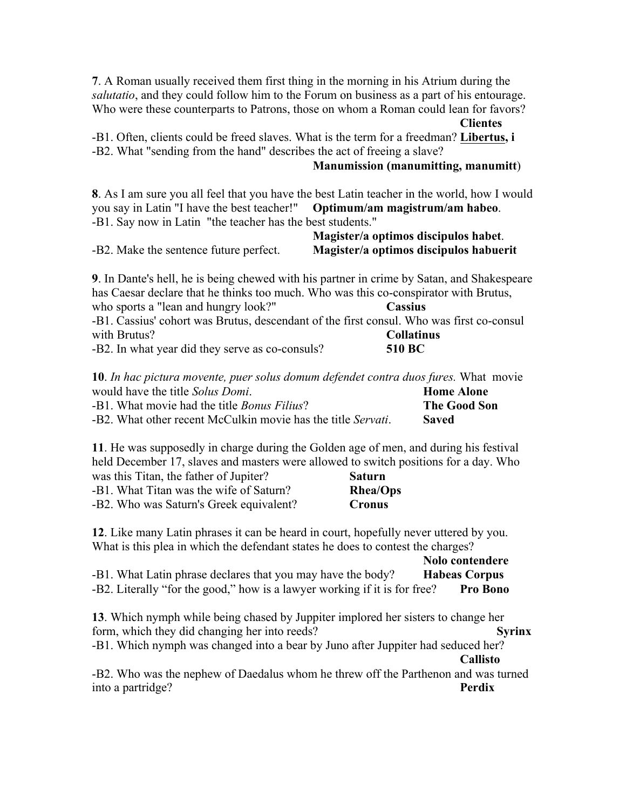**7**. A Roman usually received them first thing in the morning in his Atrium during the *salutatio*, and they could follow him to the Forum on business as a part of his entourage. Who were these counterparts to Patrons, those on whom a Roman could lean for favors? **Clientes**

-B1. Often, clients could be freed slaves. What is the term for a freedman? **Libertus, i** -B2. What "sending from the hand" describes the act of freeing a slave?

### **Manumission (manumitting, manumitt**)

**8**. As I am sure you all feel that you have the best Latin teacher in the world, how I would you say in Latin "I have the best teacher!" **Optimum/am magistrum/am habeo**. -B1. Say now in Latin "the teacher has the best students."

|                                        | Magister/a optimos discipulos habet.   |
|----------------------------------------|----------------------------------------|
| -B2. Make the sentence future perfect. | Magister/a optimos discipulos habuerit |

**9**. In Dante's hell, he is being chewed with his partner in crime by Satan, and Shakespeare has Caesar declare that he thinks too much. Who was this co-conspirator with Brutus, who sports a "lean and hungry look?" **Cassius** -B1. Cassius' cohort was Brutus, descendant of the first consul. Who was first co-consul with Brutus? **Collatinus** -B2. In what year did they serve as co-consuls? **510 BC**

**10**. *In hac pictura movente, puer solus domum defendet contra duos fures.* What movie would have the title *Solus Domi*. **Home Alone** -B1. What movie had the title *Bonus Filius*? **The Good Son** -B2. What other recent McCulkin movie has the title *Servati*. **Saved**

**11**. He was supposedly in charge during the Golden age of men, and during his festival held December 17, slaves and masters were allowed to switch positions for a day. Who this Titon, the father of Jupiter?

| was this Titan, the father of Jupiter!  | -Saturn-        |
|-----------------------------------------|-----------------|
| -B1. What Titan was the wife of Saturn? | <b>Rhea/Ops</b> |
| -B2. Who was Saturn's Greek equivalent? | <b>Cronus</b>   |

**12**. Like many Latin phrases it can be heard in court, hopefully never uttered by you. What is this plea in which the defendant states he does to contest the charges?

|                                                                           | Nolo contendere      |
|---------------------------------------------------------------------------|----------------------|
| -B1. What Latin phrase declares that you may have the body?               | <b>Habeas Corpus</b> |
| -B2. Literally "for the good," how is a lawyer working if it is for free? | <b>Pro Bono</b>      |
|                                                                           |                      |

**13**. Which nymph while being chased by Juppiter implored her sisters to change her form, which they did changing her into reeds? **Syrinx** -B1. Which nymph was changed into a bear by Juno after Juppiter had seduced her? **Callisto**

-B2. Who was the nephew of Daedalus whom he threw off the Parthenon and was turned into a partridge? **Perdix**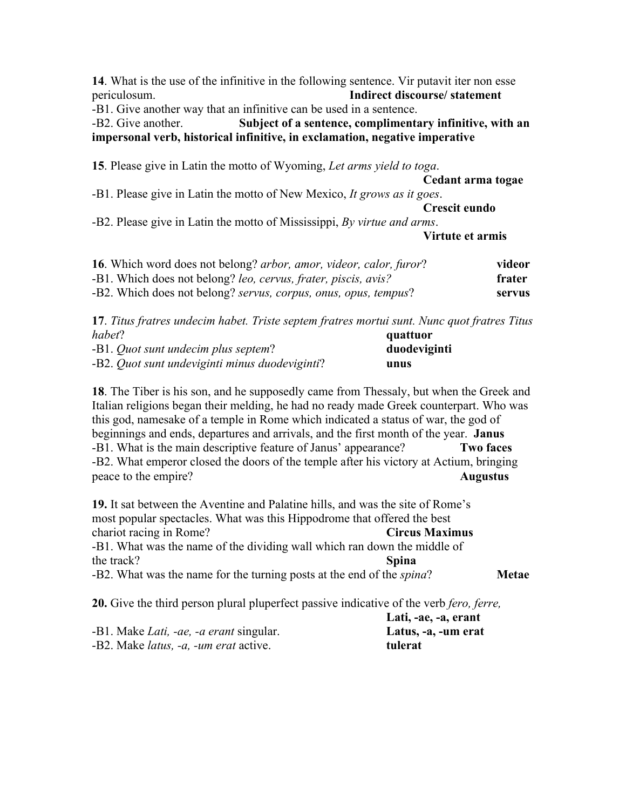**14**. What is the use of the infinitive in the following sentence. Vir putavit iter non esse periculosum. **Indirect discourse/ statement** -B1. Give another way that an infinitive can be used in a sentence. -B2. Give another. **Subject of a sentence, complimentary infinitive, with an impersonal verb, historical infinitive, in exclamation, negative imperative 15**. Please give in Latin the motto of Wyoming, *Let arms yield to toga*. **Cedant arma togae** -B1. Please give in Latin the motto of New Mexico, *It grows as it goes*. **Crescit eundo** -B2. Please give in Latin the motto of Mississippi, *By virtue and arms*. **Virtute et armis**

| <b>16.</b> Which word does not belong? <i>arbor, amor, videor, calor, furor</i> ? | videor        |
|-----------------------------------------------------------------------------------|---------------|
| -B1. Which does not belong? <i>leo, cervus, frater, piscis, avis</i> ?            | frater        |
| -B2. Which does not belong? servus, corpus, onus, opus, tempus?                   | <b>servus</b> |

**17**. *Titus fratres undecim habet. Triste septem fratres mortui sunt. Nunc quot fratres Titus habet*? **quattuor** -B1. *Quot sunt undecim plus septem*? **duodeviginti** -B2. *Quot sunt undeviginti minus duodeviginti*? **unus**

**18**. The Tiber is his son, and he supposedly came from Thessaly, but when the Greek and Italian religions began their melding, he had no ready made Greek counterpart. Who was this god, namesake of a temple in Rome which indicated a status of war, the god of beginnings and ends, departures and arrivals, and the first month of the year. **Janus** -B1. What is the main descriptive feature of Janus' appearance? **Two faces**  -B2. What emperor closed the doors of the temple after his victory at Actium, bringing peace to the empire? **Augustus**

**19.** It sat between the Aventine and Palatine hills, and was the site of Rome's most popular spectacles. What was this Hippodrome that offered the best chariot racing in Rome? **Circus Maximus** -B1. What was the name of the dividing wall which ran down the middle of the track? **Spina** -B2. What was the name for the turning posts at the end of the *spina*? **Metae 20.** Give the third person plural pluperfect passive indicative of the verb *fero, ferre,* 

|                                                                | Lati, -ae, -a, erant |
|----------------------------------------------------------------|----------------------|
| -B1. Make <i>Lati, -ae, -a erant</i> singular.                 | Latus, -a, -um erat  |
| -B2. Make <i>latus</i> , - <i>a</i> , - <i>um erat</i> active. | tulerat              |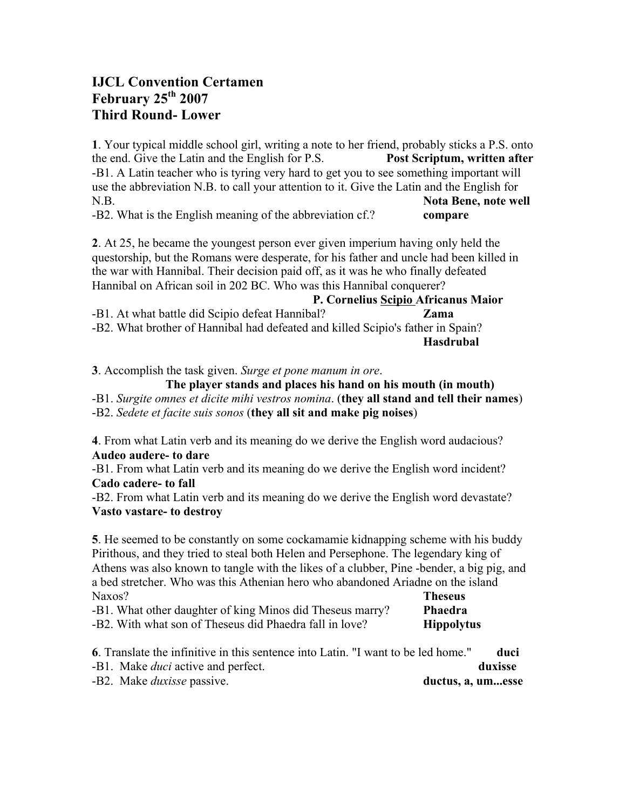# **IJCL Convention Certamen February 25th 2007 Third Round- Lower**

**1**. Your typical middle school girl, writing a note to her friend, probably sticks a P.S. onto the end. Give the Latin and the English for P.S. **Post Scriptum, written after** -B1. A Latin teacher who is tyring very hard to get you to see something important will use the abbreviation N.B. to call your attention to it. Give the Latin and the English for N.B. **Nota Bene, note well** -B2. What is the English meaning of the abbreviation cf.? **compare**

**2**. At 25, he became the youngest person ever given imperium having only held the questorship, but the Romans were desperate, for his father and uncle had been killed in the war with Hannibal. Their decision paid off, as it was he who finally defeated Hannibal on African soil in 202 BC. Who was this Hannibal conquerer?

**P. Cornelius Scipio Africanus Maior** -B1. At what battle did Scipio defeat Hannibal? **Zama** -B2. What brother of Hannibal had defeated and killed Scipio's father in Spain? **Hasdrubal**

**3**. Accomplish the task given. *Surge et pone manum in ore*.

**The player stands and places his hand on his mouth (in mouth)**

-B1. *Surgite omnes et dicite mihi vestros nomina*. (**they all stand and tell their names**) -B2. *Sedete et facite suis sonos* (**they all sit and make pig noises**)

**4**. From what Latin verb and its meaning do we derive the English word audacious? **Audeo audere- to dare**

-B1. From what Latin verb and its meaning do we derive the English word incident? **Cado cadere- to fall**

-B2. From what Latin verb and its meaning do we derive the English word devastate? **Vasto vastare- to destroy**

**5**. He seemed to be constantly on some cockamamie kidnapping scheme with his buddy Pirithous, and they tried to steal both Helen and Persephone. The legendary king of Athens was also known to tangle with the likes of a clubber, Pine -bender, a big pig, and a bed stretcher. Who was this Athenian hero who abandoned Ariadne on the island Naxos? **Theseus** 

| -B1. What other daughter of king Minos did Theseus marry? | Phaedra           |
|-----------------------------------------------------------|-------------------|
| -B2. With what son of Theseus did Phaedra fall in love?   | <b>Hippolytus</b> |

**6**. Translate the infinitive in this sentence into Latin. "I want to be led home." **duci** -B1. Make *duci* active and perfect. **duxisse** -B2. Make *duxisse* passive. **ductus, a, um...esse**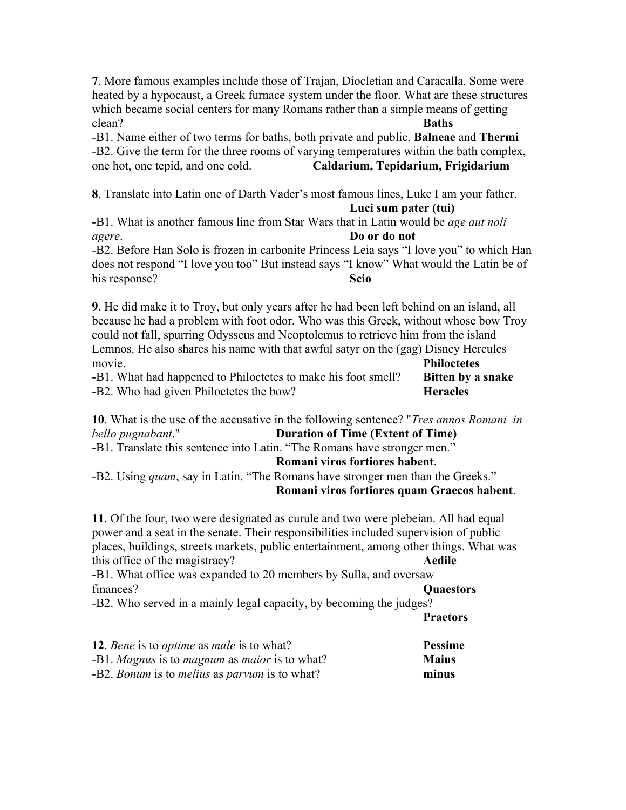**7**. More famous examples include those of Trajan, Diocletian and Caracalla. Some were heated by a hypocaust, a Greek furnace system under the floor. What are these structures which became social centers for many Romans rather than a simple means of getting clean? **Baths**

-B1. Name either of two terms for baths, both private and public. **Balneae** and **Thermi** -B2. Give the term for the three rooms of varying temperatures within the bath complex, one hot, one tepid, and one cold. **Caldarium, Tepidarium, Frigidarium**

**8**. Translate into Latin one of Darth Vader's most famous lines, Luke I am your father. **Luci sum pater (tui)**

-B1. What is another famous line from Star Wars that in Latin would be *age aut noli agere*. **Do or do not**

-B2. Before Han Solo is frozen in carbonite Princess Leia says "I love you" to which Han does not respond "I love you too" But instead says "I know" What would the Latin be of his response? **Scio**

**9**. He did make it to Troy, but only years after he had been left behind on an island, all because he had a problem with foot odor. Who was this Greek, without whose bow Troy could not fall, spurring Odysseus and Neoptolemus to retrieve him from the island Lemnos. He also shares his name with that awful satyr on the (gag) Disney Hercules movie. **Philoctetes** -B1. What had happened to Philoctetes to make his foot smell? **Bitten by a snake**

-B2. Who had given Philoctetes the bow? **Heracles** 

**10**. What is the use of the accusative in the following sentence? "*Tres annos Romani in bello pugnabant*." **Duration of Time (Extent of Time)** -B1. Translate this sentence into Latin. "The Romans have stronger men."

**Romani viros fortiores habent**.

-B2. Using *quam*, say in Latin. "The Romans have stronger men than the Greeks." **Romani viros fortiores quam Graecos habent**.

**11**. Of the four, two were designated as curule and two were plebeian. All had equal power and a seat in the senate. Their responsibilities included supervision of public places, buildings, streets markets, public entertainment, among other things. What was this office of the magistracy? **Aedile**

-B1. What office was expanded to 20 members by Sulla, and oversaw finances? **Quaestors**

-B2. Who served in a mainly legal capacity, by becoming the judges?

**Praetors**

| 12. Bene is to <i>optime</i> as <i>male</i> is to what?            | <b>Pessime</b> |
|--------------------------------------------------------------------|----------------|
| -B1. <i>Magnus</i> is to <i>magnum</i> as <i>maior</i> is to what? | <b>Maius</b>   |
| -B2. <i>Bonum</i> is to <i>melius</i> as <i>parvum</i> is to what? | minus          |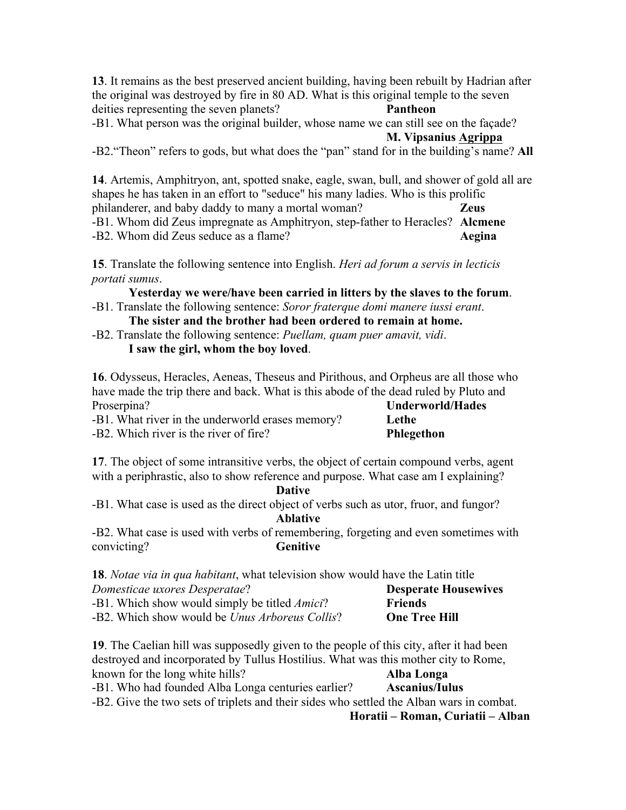**13**. It remains as the best preserved ancient building, having been rebuilt by Hadrian after the original was destroyed by fire in 80 AD. What is this original temple to the seven deities representing the seven planets? **Pantheon**

-B1. What person was the original builder, whose name we can still see on the façade? **M. Vipsanius Agrippa**

-B2."Theon" refers to gods, but what does the "pan" stand for in the building's name? **All**

**14**. Artemis, Amphitryon, ant, spotted snake, eagle, swan, bull, and shower of gold all are shapes he has taken in an effort to "seduce" his many ladies. Who is this prolific philanderer, and baby daddy to many a mortal woman? **Zeus** -B1. Whom did Zeus impregnate as Amphitryon, step-father to Heracles? **Alcmene** -B2. Whom did Zeus seduce as a flame? **Aegina** 

**15**. Translate the following sentence into English. *Heri ad forum a servis in lecticis portati sumus*.

**Yesterday we were/have been carried in litters by the slaves to the forum**. -B1. Translate the following sentence: *Soror fraterque domi manere iussi erant*.

**The sister and the brother had been ordered to remain at home.**

-B2. Translate the following sentence: *Puellam, quam puer amavit, vidi*. **I saw the girl, whom the boy loved**.

**16**. Odysseus, Heracles, Aeneas, Theseus and Pirithous, and Orpheus are all those who have made the trip there and back. What is this abode of the dead ruled by Pluto and Proserpina? **Underworld/Hades**

-B1. What river in the underworld erases memory? **Lethe**

-B2. Which river is the river of fire? **Phlegethon**

**17**. The object of some intransitive verbs, the object of certain compound verbs, agent with a periphrastic, also to show reference and purpose. What case am I explaining?

**Dative**

-B1. What case is used as the direct object of verbs such as utor, fruor, and fungor? **Ablative**

-B2. What case is used with verbs of remembering, forgeting and even sometimes with convicting? **Genitive**

**18**. *Notae via in qua habitant*, what television show would have the Latin title *Domesticae uxores Desperatae*? **Desperate Housewives**  -B1. Which show would simply be titled *Amici*? **Friends**

-B2. Which show would be *Unus Arboreus Collis*? **One Tree Hill**

**19**. The Caelian hill was supposedly given to the people of this city, after it had been destroyed and incorporated by Tullus Hostilius. What was this mother city to Rome, known for the long white hills? **Alba Longa**

-B1. Who had founded Alba Longa centuries earlier? **Ascanius/Iulus**

-B2. Give the two sets of triplets and their sides who settled the Alban wars in combat.

**Horatii – Roman, Curiatii – Alban**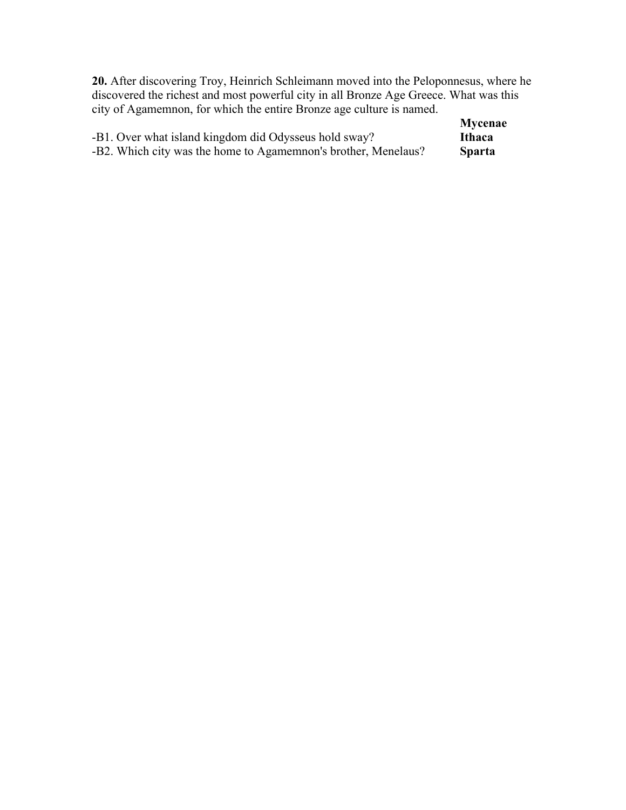**20.** After discovering Troy, Heinrich Schleimann moved into the Peloponnesus, where he discovered the richest and most powerful city in all Bronze Age Greece. What was this city of Agamemnon, for which the entire Bronze age culture is named.

|                                                                | Mycenae       |
|----------------------------------------------------------------|---------------|
| -B1. Over what island kingdom did Odysseus hold sway?          | <b>Ithaca</b> |
| -B2. Which city was the home to Agamemnon's brother, Menelaus? | <b>Sparta</b> |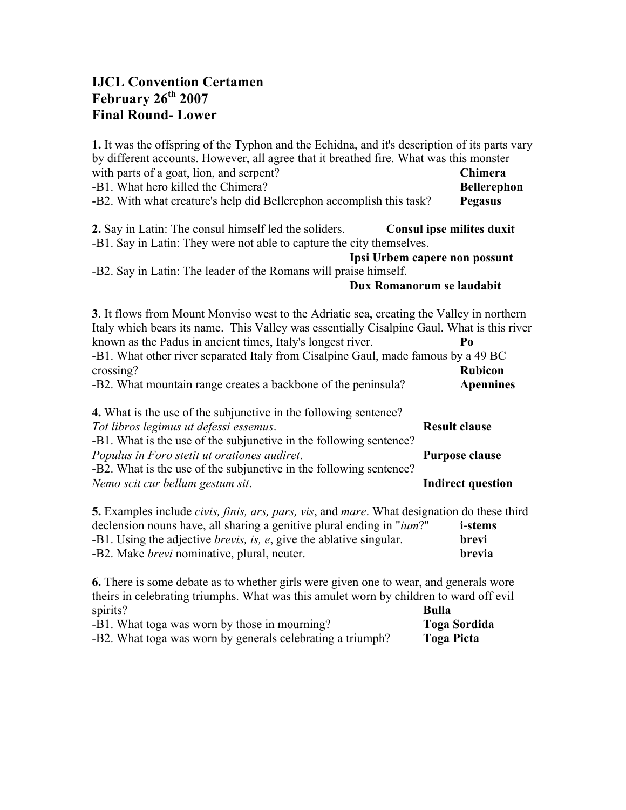# **IJCL Convention Certamen February 26th 2007 Final Round- Lower**

**1.** It was the offspring of the Typhon and the Echidna, and it's description of its parts vary by different accounts. However, all agree that it breathed fire. What was this monster with parts of a goat, lion, and serpent? **Chimera** -B1. What hero killed the Chimera? **Bellerephon** -B2. With what creature's help did Bellerephon accomplish this task? **Pegasus**

**2.** Say in Latin: The consul himself led the soliders. **Consul ipse milites duxit** -B1. Say in Latin: They were not able to capture the city themselves.

**Ipsi Urbem capere non possunt**

-B2. Say in Latin: The leader of the Romans will praise himself.

### **Dux Romanorum se laudabit**

**3**. It flows from Mount Monviso west to the Adriatic sea, creating the Valley in northern Italy which bears its name. This Valley was essentially Cisalpine Gaul. What is this river known as the Padus in ancient times, Italy's longest river. **Po** -B1. What other river separated Italy from Cisalpine Gaul, made famous by a 49 BC crossing? **Rubicon** -B2. What mountain range creates a backbone of the peninsula? **Apennines**

**4.** What is the use of the subjunctive in the following sentence?

| Tot libros legimus ut defessi essemus.                             | <b>Result clause</b>     |
|--------------------------------------------------------------------|--------------------------|
| -B1. What is the use of the subjunctive in the following sentence? |                          |
| Populus in Foro stetit ut orationes audiret.                       | <b>Purpose clause</b>    |
| -B2. What is the use of the subjunctive in the following sentence? |                          |
| Nemo scit cur bellum gestum sit.                                   | <b>Indirect question</b> |

| <b>5.</b> Examples include <i>civis, finis, ars, pars, vis</i> , and <i>mare</i> . What designation do these third |                 |
|--------------------------------------------------------------------------------------------------------------------|-----------------|
| declension nouns have, all sharing a genitive plural ending in " <i>ium</i> ?"                                     | <i>i</i> -stems |
| $-B1$ . Using the adjective <i>brevis, is, e, give the ablative singular.</i>                                      | <b>hrevi</b>    |
| -B2. Make <i>brevi</i> nominative, plural, neuter.                                                                 | brevia          |

**6.** There is some debate as to whether girls were given one to wear, and generals wore theirs in celebrating triumphs. What was this amulet worn by children to ward off evil spirits? **Bulla** 

| -B1. What toga was worn by those in mourning?              | Toga Sordida      |
|------------------------------------------------------------|-------------------|
| -B2. What toga was worn by generals celebrating a triumph? | <b>Toga Picta</b> |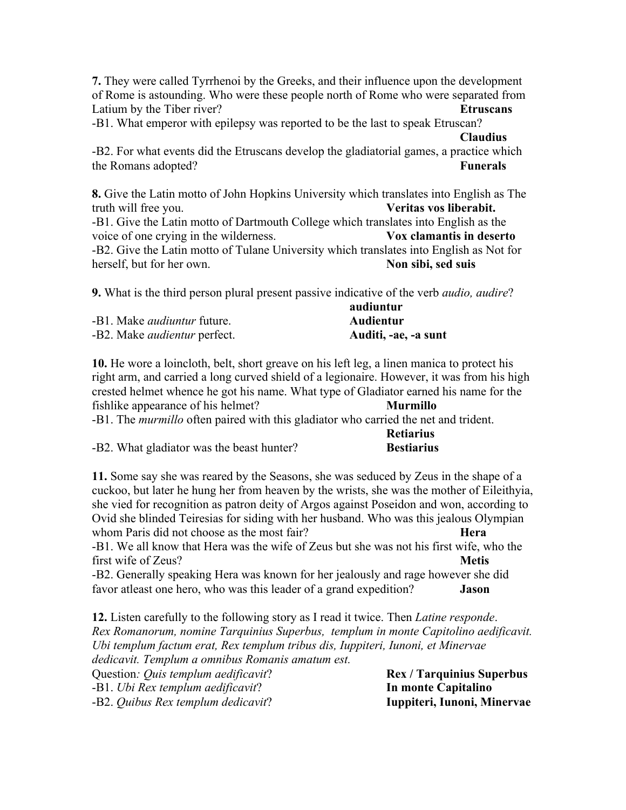**7.** They were called Tyrrhenoi by the Greeks, and their influence upon the development of Rome is astounding. Who were these people north of Rome who were separated from Latium by the Tiber river? **Etruscans**

-B1. What emperor with epilepsy was reported to be the last to speak Etruscan?

#### **Claudius**

-B2. For what events did the Etruscans develop the gladiatorial games, a practice which the Romans adopted? **Funerals**

**8.** Give the Latin motto of John Hopkins University which translates into English as The truth will free you. **Veritas vos liberabit.** -B1. Give the Latin motto of Dartmouth College which translates into English as the voice of one crying in the wilderness. **Vox clamantis in deserto** -B2. Give the Latin motto of Tulane University which translates into English as Not for herself, but for her own. **Non sibi, sed suis**

**9.** What is the third person plural present passive indicative of the verb *audio, audire*?

|                                     | audiuntur            |
|-------------------------------------|----------------------|
| -B1. Make <i>audiuntur</i> future.  | Audientur            |
| -B2. Make <i>audientur</i> perfect. | Auditi, -ae, -a sunt |

**10.** He wore a loincloth, belt, short greave on his left leg, a linen manica to protect his right arm, and carried a long curved shield of a legionaire. However, it was from his high crested helmet whence he got his name. What type of Gladiator earned his name for the fishlike appearance of his helmet? **Murmillo**

-B1. The *murmillo* often paired with this gladiator who carried the net and trident.

|                                           | <b>Retiarius</b>  |
|-------------------------------------------|-------------------|
| -B2. What gladiator was the beast hunter? | <b>Bestiarius</b> |

**11.** Some say she was reared by the Seasons, she was seduced by Zeus in the shape of a cuckoo, but later he hung her from heaven by the wrists, she was the mother of Eileithyia, she vied for recognition as patron deity of Argos against Poseidon and won, according to Ovid she blinded Teiresias for siding with her husband. Who was this jealous Olympian whom Paris did not choose as the most fair? **Hera** -B1. We all know that Hera was the wife of Zeus but she was not his first wife, who the first wife of Zeus? **Metis** -B2. Generally speaking Hera was known for her jealously and rage however she did

favor atleast one hero, who was this leader of a grand expedition? **Jason**

**12.** Listen carefully to the following story as I read it twice. Then *Latine responde*. *Rex Romanorum, nomine Tarquinius Superbus, templum in monte Capitolino aedificavit. Ubi templum factum erat, Rex templum tribus dis, Iuppiteri, Iunoni, et Minervae dedicavit. Templum a omnibus Romanis amatum est.*

Question*: Quis templum aedificavit*? **Rex / Tarquinius Superbus**

-B1. *Ubi Rex templum aedificavit*? **In monte Capitalino**

-B2. *Quibus Rex templum dedicavit*? **Iuppiteri, Iunoni, Minervae**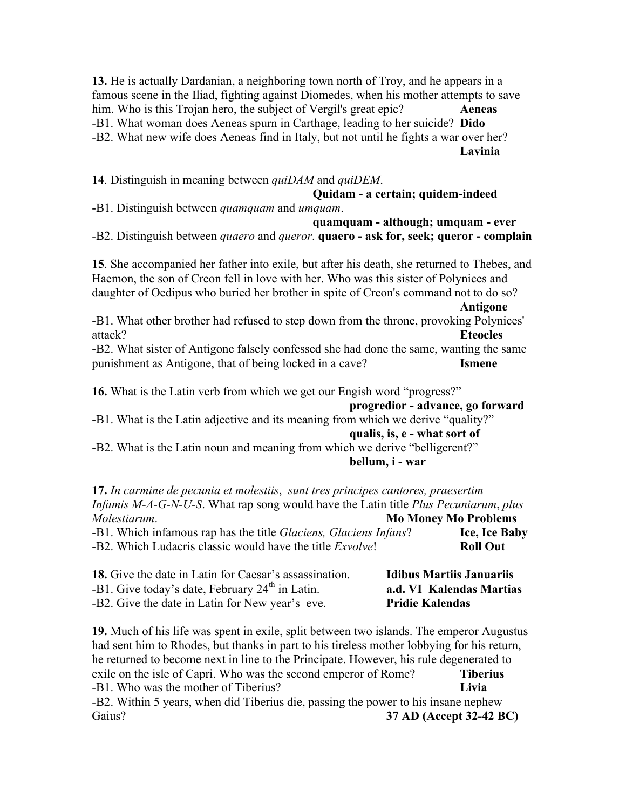**13.** He is actually Dardanian, a neighboring town north of Troy, and he appears in a famous scene in the Iliad, fighting against Diomedes, when his mother attempts to save him. Who is this Trojan hero, the subject of Vergil's great epic? **Aeneas**  -B1. What woman does Aeneas spurn in Carthage, leading to her suicide? **Dido** -B2. What new wife does Aeneas find in Italy, but not until he fights a war over her? **Lavinia**

**14**. Distinguish in meaning between *quiDAM* and *quiDEM*.

**Quidam - a certain; quidem-indeed**

-B1. Distinguish between *quamquam* and *umquam*.

**quamquam - although; umquam - ever** -B2. Distinguish between *quaero* and *queror*. **quaero - ask for, seek; queror - complain**

**15**. She accompanied her father into exile, but after his death, she returned to Thebes, and Haemon, the son of Creon fell in love with her. Who was this sister of Polynices and daughter of Oedipus who buried her brother in spite of Creon's command not to do so? **Antigone**

-B1. What other brother had refused to step down from the throne, provoking Polynices' attack? **Eteocles**

-B2. What sister of Antigone falsely confessed she had done the same, wanting the same punishment as Antigone, that of being locked in a cave? **Ismene**

**16.** What is the Latin verb from which we get our Engish word "progress?"

### **progredior - advance, go forward**

-B1. What is the Latin adjective and its meaning from which we derive "quality?"

# **qualis, is, e - what sort of**

-B2. What is the Latin noun and meaning from which we derive "belligerent?" **bellum, i - war**

| 17. In carmine de pecunia et molestiis, sunt tres principes cantores, praesertim                          |                             |
|-----------------------------------------------------------------------------------------------------------|-----------------------------|
| <i>Infamis M-A-G-N-U-S.</i> What rap song would have the Latin title <i>Plus Pecuniarum</i> , <i>plus</i> |                             |
| Molestiarum.                                                                                              | <b>Mo Money Mo Problems</b> |
| -B1. Which infamous rap has the title <i>Glaciens</i> , <i>Glaciens Infans</i> ?                          | <b>Ice, Ice Baby</b>        |
| -B2. Which Ludacris classic would have the title <i>Exvolve</i> !                                         | <b>Roll Out</b>             |
|                                                                                                           |                             |

| <b>18.</b> Give the date in Latin for Caesar's assassination. | Idibus Martiis Januariis |
|---------------------------------------------------------------|--------------------------|
| -B1. Give today's date, February $24th$ in Latin.             | a.d. VI Kalendas Martias |
| -B2. Give the date in Latin for New year's eve.               | <b>Pridie Kalendas</b>   |

**19.** Much of his life was spent in exile, split between two islands. The emperor Augustus had sent him to Rhodes, but thanks in part to his tireless mother lobbying for his return, he returned to become next in line to the Principate. However, his rule degenerated to exile on the isle of Capri. Who was the second emperor of Rome? **Tiberius** -B1. Who was the mother of Tiberius? **Livia** -B2. Within 5 years, when did Tiberius die, passing the power to his insane nephew Gaius? **37 AD (Accept 32-42 BC)**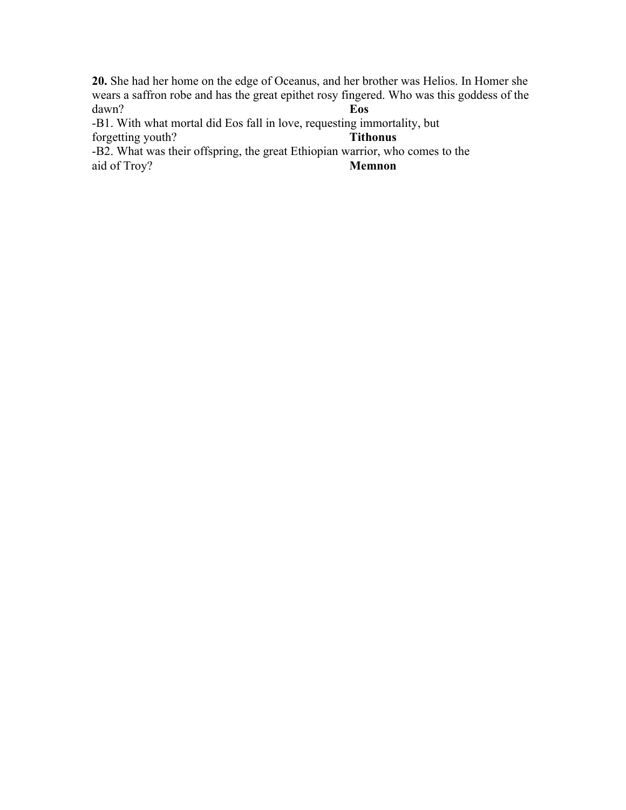**20.** She had her home on the edge of Oceanus, and her brother was Helios. In Homer she wears a saffron robe and has the great epithet rosy fingered. Who was this goddess of the dawn? **Eos**

-B1. With what mortal did Eos fall in love, requesting immortality, but forgetting youth?<br>Tithonus forgetting youth?

-B2. What was their offspring, the great Ethiopian warrior, who comes to the aid of Troy?<br> **Memnon** aid of Troy?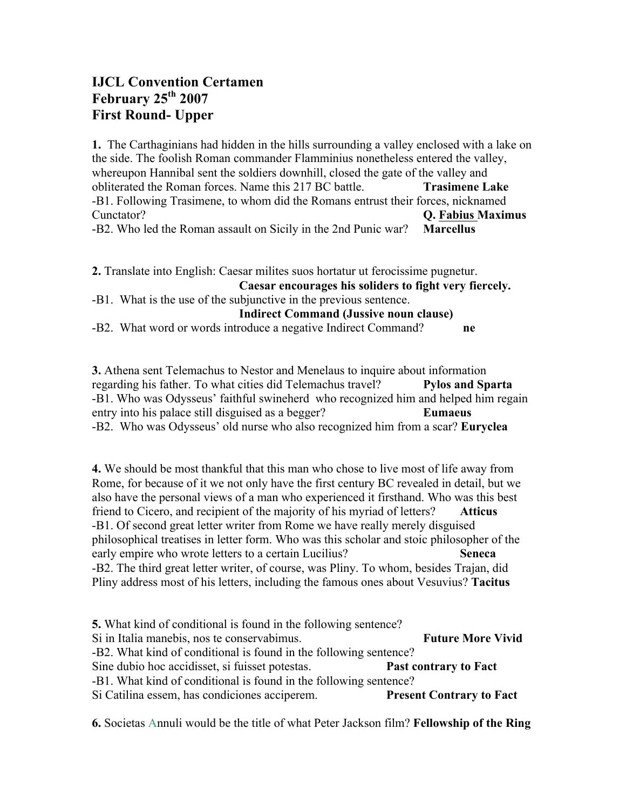# **IJCL Convention Certamen February 25th 2007 First Round- Upper**

**1.** The Carthaginians had hidden in the hills surrounding a valley enclosed with a lake on the side. The foolish Roman commander Flamminius nonetheless entered the valley, whereupon Hannibal sent the soldiers downhill, closed the gate of the valley and obliterated the Roman forces. Name this 217 BC battle. **Trasimene Lake** -B1. Following Trasimene, to whom did the Romans entrust their forces, nicknamed Cunctator? **Q. Fabius Maximus** -B2. Who led the Roman assault on Sicily in the 2nd Punic war? **Marcellus**

**2.** Translate into English: Caesar milites suos hortatur ut ferocissime pugnetur. **Caesar encourages his soliders to fight very fiercely.** -B1. What is the use of the subjunctive in the previous sentence. **Indirect Command (Jussive noun clause)**

-B2. What word or words introduce a negative Indirect Command? **ne**

**3.** Athena sent Telemachus to Nestor and Menelaus to inquire about information regarding his father. To what cities did Telemachus travel? **Pylos and Sparta** -B1. Who was Odysseus' faithful swineherd who recognized him and helped him regain entry into his palace still disguised as a begger? **Eumaeus** -B2. Who was Odysseus' old nurse who also recognized him from a scar? **Euryclea**

**4.** We should be most thankful that this man who chose to live most of life away from Rome, for because of it we not only have the first century BC revealed in detail, but we also have the personal views of a man who experienced it firsthand. Who was this best friend to Cicero, and recipient of the majority of his myriad of letters? **Atticus** -B1. Of second great letter writer from Rome we have really merely disguised philosophical treatises in letter form. Who was this scholar and stoic philosopher of the early empire who wrote letters to a certain Lucilius? **Seneca** -B2. The third great letter writer, of course, was Pliny. To whom, besides Trajan, did Pliny address most of his letters, including the famous ones about Vesuvius? **Tacitus**

**5.** What kind of conditional is found in the following sentence? Si in Italia manebis, nos te conservabimus. **Future More Vivid** -B2. What kind of conditional is found in the following sentence? Sine dubio hoc accidisset, si fuisset potestas. **Past contrary to Fact** -B1. What kind of conditional is found in the following sentence? Si Catilina essem, has condiciones acciperem. **Present Contrary to Fact**

**6.** Societas Annuli would be the title of what Peter Jackson film? **Fellowship of the Ring**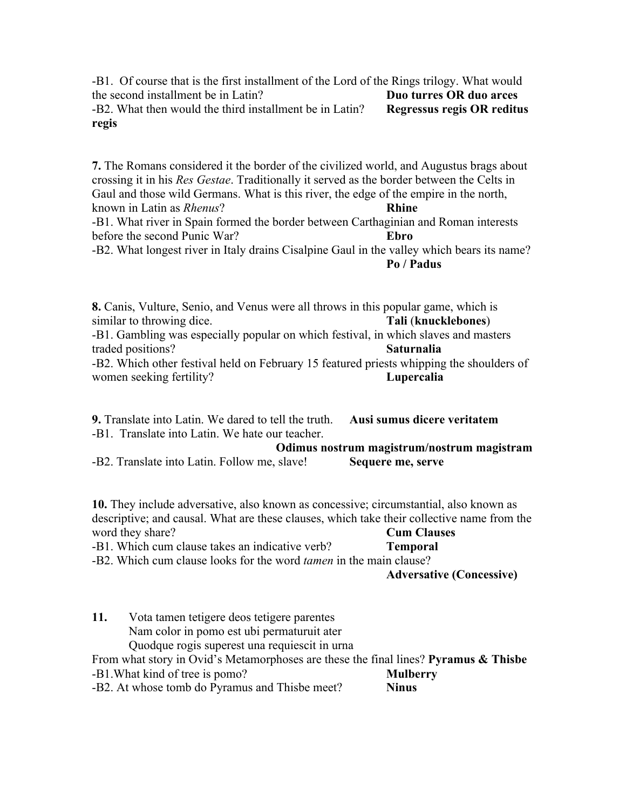-B1. Of course that is the first installment of the Lord of the Rings trilogy. What would the second installment be in Latin? **Duo turres OR duo arces** -B2. What then would the third installment be in Latin? **Regressus regis OR reditus regis**

**7.** The Romans considered it the border of the civilized world, and Augustus brags about crossing it in his *Res Gestae*. Traditionally it served as the border between the Celts in Gaul and those wild Germans. What is this river, the edge of the empire in the north, known in Latin as *Rhenus*? **Rhine** -B1. What river in Spain formed the border between Carthaginian and Roman interests

before the second Punic War? **Ebro**

-B2. What longest river in Italy drains Cisalpine Gaul in the valley which bears its name? **Po / Padus**

**8.** Canis, Vulture, Senio, and Venus were all throws in this popular game, which is similar to throwing dice. **Tali** (**knucklebones**)

-B1. Gambling was especially popular on which festival, in which slaves and masters traded positions? **Saturnalia**

-B2. Which other festival held on February 15 featured priests whipping the shoulders of women seeking fertility? **Lupercalia**

**9.** Translate into Latin. We dared to tell the truth. **Ausi sumus dicere veritatem** -B1. Translate into Latin. We hate our teacher.

**Odimus nostrum magistrum/nostrum magistram** -B2. Translate into Latin. Follow me, slave! **Sequere me, serve**

**10.** They include adversative, also known as concessive; circumstantial, also known as descriptive; and causal. What are these clauses, which take their collective name from the word they share? **Cum Clauses**

-B1. Which cum clause takes an indicative verb? **Temporal**

-B2. Which cum clause looks for the word *tamen* in the main clause?

**Adversative (Concessive)** 

**11.** Vota tamen tetigere deos tetigere parentes Nam color in pomo est ubi permaturuit ater Quodque rogis superest una requiescit in urna From what story in Ovid's Metamorphoses are these the final lines? **Pyramus & Thisbe**

-B1.What kind of tree is pomo? **Mulberry** -B2. At whose tomb do Pyramus and Thisbe meet? **Ninus**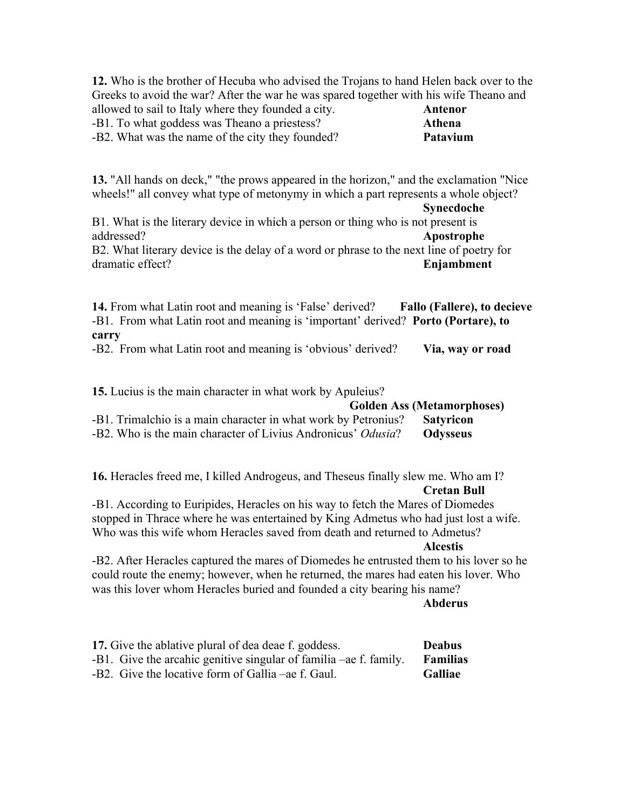| 12. Who is the brother of Hecuba who advised the Trojans to hand Helen back over to the |          |
|-----------------------------------------------------------------------------------------|----------|
| Greeks to avoid the war? After the war he was spared together with his wife Theano and  |          |
| allowed to sail to Italy where they founded a city.                                     | Antenor  |
| -B1. To what goddess was Theano a priestess?                                            | Athena   |
| -B2. What was the name of the city they founded?                                        | Patavium |
|                                                                                         |          |

**13.** "All hands on deck," "the prows appeared in the horizon," and the exclamation "Nice wheels!" all convey what type of metonymy in which a part represents a whole object? **Synecdoche**

B1. What is the literary device in which a person or thing who is not present is addressed? **Apostrophe**

B2. What literary device is the delay of a word or phrase to the next line of poetry for dramatic effect? **Enjambment**

**14.** From what Latin root and meaning is 'False' derived? **Fallo (Fallere), to decieve** -B1. From what Latin root and meaning is 'important' derived? **Porto (Portare), to carry**

-B2. From what Latin root and meaning is 'obvious' derived? **Via, way or road**

**15.** Lucius is the main character in what work by Apuleius?

|  | <b>Golden Ass (Metamorphoses)</b> |
|--|-----------------------------------|
|--|-----------------------------------|

| -B1. Trimalchio is a main character in what work by Petronius? | <b>Satyricon</b> |
|----------------------------------------------------------------|------------------|
| -B2. Who is the main character of Livius Andronicus' Odusia?   | Odysseus         |

**16.** Heracles freed me, I killed Androgeus, and Theseus finally slew me. Who am I? **Cretan Bull**

-B1. According to Euripides, Heracles on his way to fetch the Mares of Diomedes stopped in Thrace where he was entertained by King Admetus who had just lost a wife. Who was this wife whom Heracles saved from death and returned to Admetus?

### **Alcestis**

-B2. After Heracles captured the mares of Diomedes he entrusted them to his lover so he could route the enemy; however, when he returned, the mares had eaten his lover. Who was this lover whom Heracles buried and founded a city bearing his name?

**Abderus**

| 17. Give the ablative plural of dea deae f. goddess.              | <b>Deabus</b>   |
|-------------------------------------------------------------------|-----------------|
| -B1. Give the arcahic genitive singular of familia –ae f. family. | <b>Familias</b> |
| -B2. Give the locative form of Gallia –ae f. Gaul.                | <b>Galliae</b>  |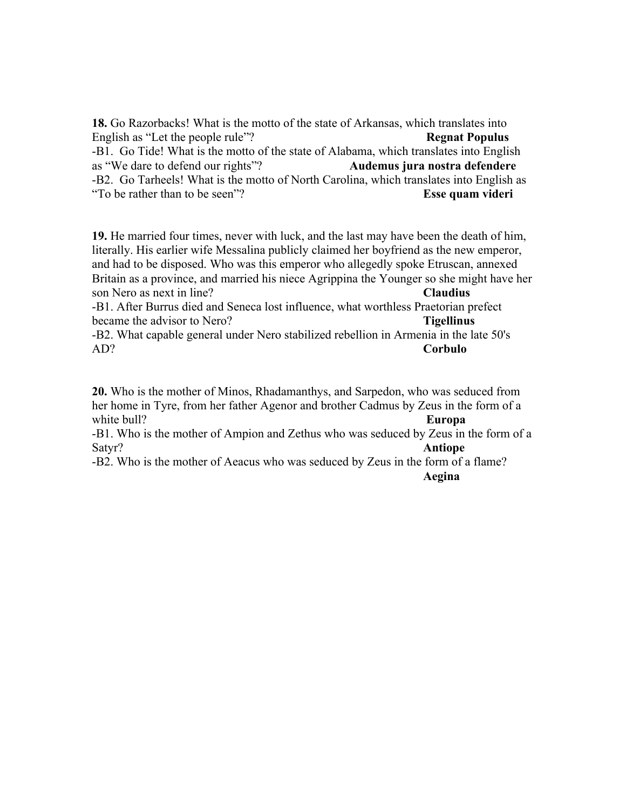**18.** Go Razorbacks! What is the motto of the state of Arkansas, which translates into English as "Let the people rule"? **Regnation Regnat Populus** -B1. Go Tide! What is the motto of the state of Alabama, which translates into English as "We dare to defend our rights"? **Audemus jura nostra defendere** -B2. Go Tarheels! What is the motto of North Carolina, which translates into English as "To be rather than to be seen"? **Esse quam videri**

**19.** He married four times, never with luck, and the last may have been the death of him, literally. His earlier wife Messalina publicly claimed her boyfriend as the new emperor, and had to be disposed. Who was this emperor who allegedly spoke Etruscan, annexed Britain as a province, and married his niece Agrippina the Younger so she might have her son Nero as next in line? **Claudius**

-B1. After Burrus died and Seneca lost influence, what worthless Praetorian prefect became the advisor to Nero? **Tigellinus** 

-B2. What capable general under Nero stabilized rebellion in Armenia in the late 50's AD? **Corbulo**

**20.** Who is the mother of Minos, Rhadamanthys, and Sarpedon, who was seduced from her home in Tyre, from her father Agenor and brother Cadmus by Zeus in the form of a white bull? **Europa** 

-B1. Who is the mother of Ampion and Zethus who was seduced by Zeus in the form of a Satyr? **Antiope**

-B2. Who is the mother of Aeacus who was seduced by Zeus in the form of a flame? **Aegina**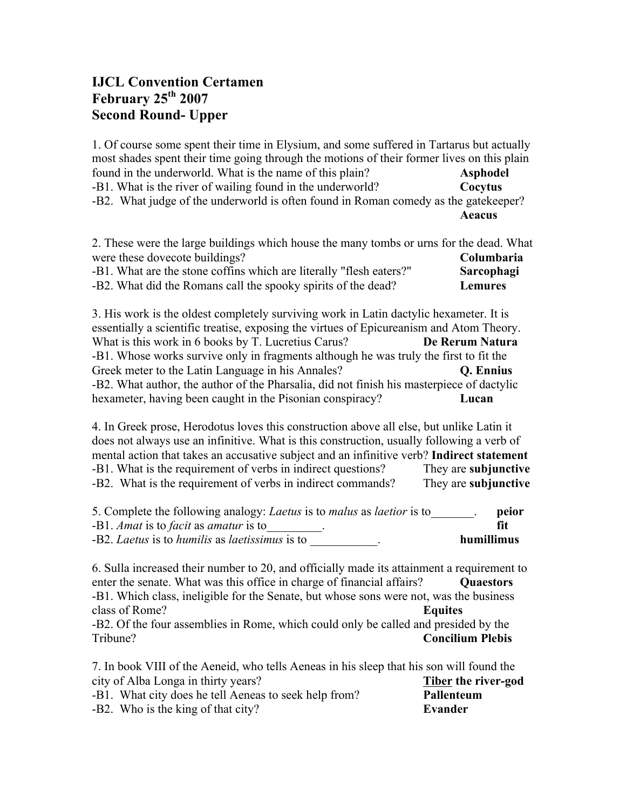# **IJCL Convention Certamen February 25th 2007 Second Round- Upper**

1. Of course some spent their time in Elysium, and some suffered in Tartarus but actually most shades spent their time going through the motions of their former lives on this plain found in the underworld. What is the name of this plain? **Asphodel** -B1. What is the river of wailing found in the underworld? **Cocytus** -B2. What judge of the underworld is often found in Roman comedy as the gatekeeper? **Aeacus**

2. These were the large buildings which house the many tombs or urns for the dead. What were these dovecote buildings? **Columbaria** -B1. What are the stone coffins which are literally "flesh eaters?" **Sarcophagi** -B2. What did the Romans call the spooky spirits of the dead? **Lemures**

3. His work is the oldest completely surviving work in Latin dactylic hexameter. It is essentially a scientific treatise, exposing the virtues of Epicureanism and Atom Theory. What is this work in 6 books by T. Lucretius Carus? **De Rerum Natura** -B1. Whose works survive only in fragments although he was truly the first to fit the Greek meter to the Latin Language in his Annales? **Q. Ennius** -B2. What author, the author of the Pharsalia, did not finish his masterpiece of dactylic hexameter, having been caught in the Pisonian conspiracy? **Lucan**

4. In Greek prose, Herodotus loves this construction above all else, but unlike Latin it does not always use an infinitive. What is this construction, usually following a verb of mental action that takes an accusative subject and an infinitive verb? **Indirect statement** -B1. What is the requirement of verbs in indirect questions? They are **subjunctive** -B2. What is the requirement of verbs in indirect commands? They are **subjunctive**

| 5. Complete the following analogy: <i>Laetus</i> is to <i>malus</i> as <i>laetior</i> is to | peior      |
|---------------------------------------------------------------------------------------------|------------|
| -B1. <i>Amat</i> is to <i>facit</i> as <i>amatur</i> is to                                  |            |
| -B2. <i>Laetus</i> is to <i>humilis</i> as <i>laetissimus</i> is to                         | humillimus |

6. Sulla increased their number to 20, and officially made its attainment a requirement to enter the senate. What was this office in charge of financial affairs? **Quaestors** -B1. Which class, ineligible for the Senate, but whose sons were not, was the business class of Rome? **Equites** -B2. Of the four assemblies in Rome, which could only be called and presided by the Tribune? **Concilium Plebis**

7. In book VIII of the Aeneid, who tells Aeneas in his sleep that his son will found the city of Alba Longa in thirty years? **Tiber the river-god** -B1. What city does he tell Aeneas to seek help from? **Pallenteum**

-B2. Who is the king of that city? **Evander**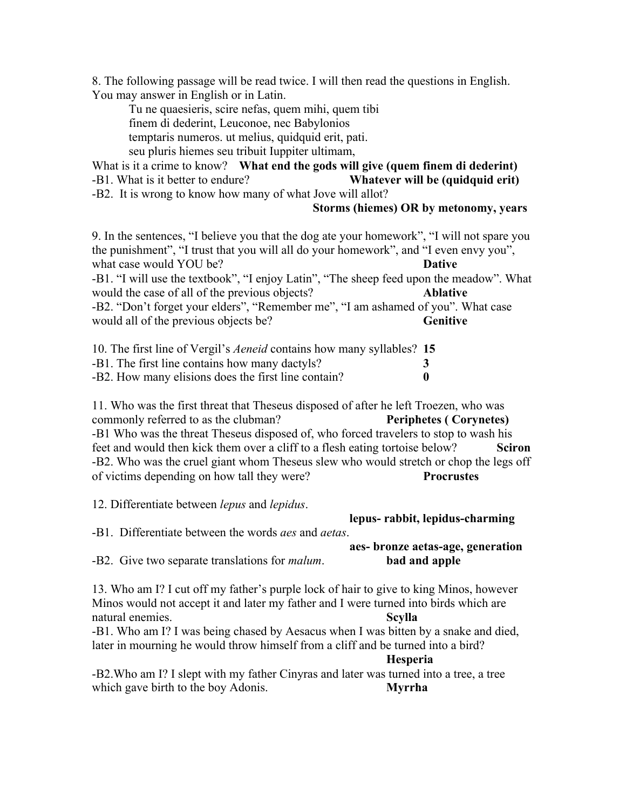8. The following passage will be read twice. I will then read the questions in English. You may answer in English or in Latin.

Tu ne quaesieris, scire nefas, quem mihi, quem tibi finem di dederint, Leuconoe, nec Babylonios temptaris numeros. ut melius, quidquid erit, pati. seu pluris hiemes seu tribuit Iuppiter ultimam,

What is it a crime to know? **What end the gods will give (quem finem di dederint)**

-B1. What is it better to endure? **Whatever will be (quidquid erit)**

-B2. It is wrong to know how many of what Jove will allot?

## **Storms (hiemes) OR by metonomy, years**

9. In the sentences, "I believe you that the dog ate your homework", "I will not spare you the punishment", "I trust that you will all do your homework", and "I even envy you", what case would YOU be? **Dative** 

-B1. "I will use the textbook", "I enjoy Latin", "The sheep feed upon the meadow". What would the case of all of the previous objects? **Ablative**

-B2. "Don't forget your elders", "Remember me", "I am ashamed of you". What case would all of the previous objects be? **Genitive**

10. The first line of Vergil's *Aeneid* contains how many syllables? **15** -B1. The first line contains how many dactyls? **3** -B2. How many elisions does the first line contain? **0**

11. Who was the first threat that Theseus disposed of after he left Troezen, who was commonly referred to as the clubman? **Periphetes ( Corynetes)** -B1 Who was the threat Theseus disposed of, who forced travelers to stop to wash his feet and would then kick them over a cliff to a flesh eating tortoise below? **Sciron** -B2. Who was the cruel giant whom Theseus slew who would stretch or chop the legs off of victims depending on how tall they were? **Procrustes**

12. Differentiate between *lepus* and *lepidus*.

## **lepus- rabbit, lepidus-charming**

-B1. Differentiate between the words *aes* and *aetas*.

| aes-bronze aetas-age, generation |
|----------------------------------|
| bad and apple                    |

-B2. Give two separate translations for *malum*.

13. Who am I? I cut off my father's purple lock of hair to give to king Minos, however Minos would not accept it and later my father and I were turned into birds which are natural enemies. **Scylla**

-B1. Who am I? I was being chased by Aesacus when I was bitten by a snake and died, later in mourning he would throw himself from a cliff and be turned into a bird?

## **Hesperia**

-B2.Who am I? I slept with my father Cinyras and later was turned into a tree, a tree which gave birth to the boy Adonis. **Myrrha**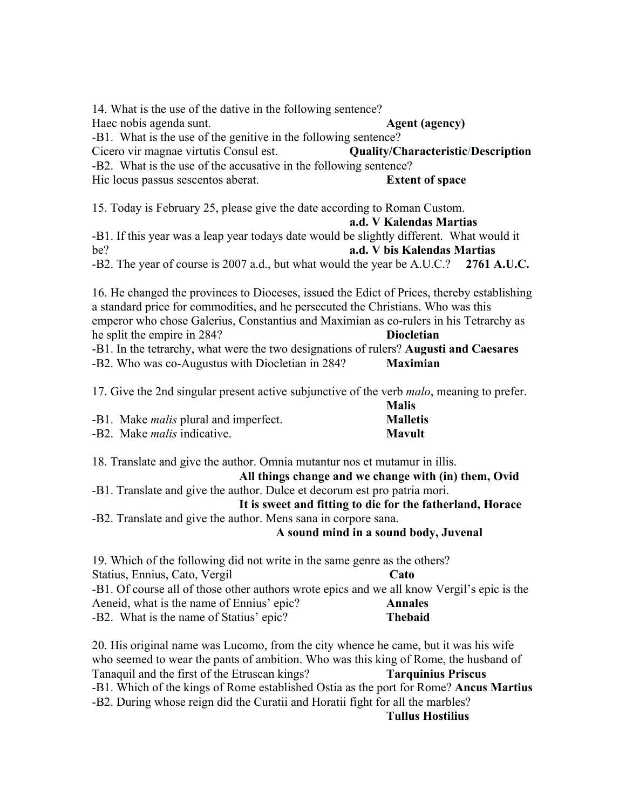14. What is the use of the dative in the following sentence? Haec nobis agenda sunt. **Agent (agency)** -B1. What is the use of the genitive in the following sentence? Cicero vir magnae virtutis Consul est. **Quality/Characteristic/Description** -B2. What is the use of the accusative in the following sentence? Hic locus passus sescentos aberat. **Extent of space** 15. Today is February 25, please give the date according to Roman Custom. **a.d. V Kalendas Martias** -B1. If this year was a leap year todays date would be slightly different. What would it be? **a.d. V bis Kalendas Martias** -B2. The year of course is 2007 a.d., but what would the year be A.U.C.? **2761 A.U.C.** 16. He changed the provinces to Dioceses, issued the Edict of Prices, thereby establishing a standard price for commodities, and he persecuted the Christians. Who was this emperor who chose Galerius, Constantius and Maximian as co-rulers in his Tetrarchy as he split the empire in 284? **Diocletian** -B1. In the tetrarchy, what were the two designations of rulers? **Augusti and Caesares**  -B2. Who was co-Augustus with Diocletian in 284? **Maximian** 17. Give the 2nd singular present active subjunctive of the verb *malo*, meaning to prefer. **Malis**

|                                              | планы           |
|----------------------------------------------|-----------------|
| -B1. Make <i>malis</i> plural and imperfect. | <b>Malletis</b> |
| -B2. Make <i>malis</i> indicative.           | <b>Mavult</b>   |

18. Translate and give the author. Omnia mutantur nos et mutamur in illis.

**All things change and we change with (in) them, Ovid** -B1. Translate and give the author. Dulce et decorum est pro patria mori.

**It is sweet and fitting to die for the fatherland, Horace**

-B2. Translate and give the author. Mens sana in corpore sana. **A sound mind in a sound body, Juvenal**

19. Which of the following did not write in the same genre as the others? Statius, Ennius, Cato, Vergil **Cato** -B1. Of course all of those other authors wrote epics and we all know Vergil's epic is the Aeneid, what is the name of Ennius' epic? **Annales** -B2. What is the name of Statius' epic? **Thebaid**

20. His original name was Lucomo, from the city whence he came, but it was his wife who seemed to wear the pants of ambition. Who was this king of Rome, the husband of Tanaquil and the first of the Etruscan kings? **Tarquinius Priscus** -B1. Which of the kings of Rome established Ostia as the port for Rome? **Ancus Martius** -B2. During whose reign did the Curatii and Horatii fight for all the marbles?

**Tullus Hostilius**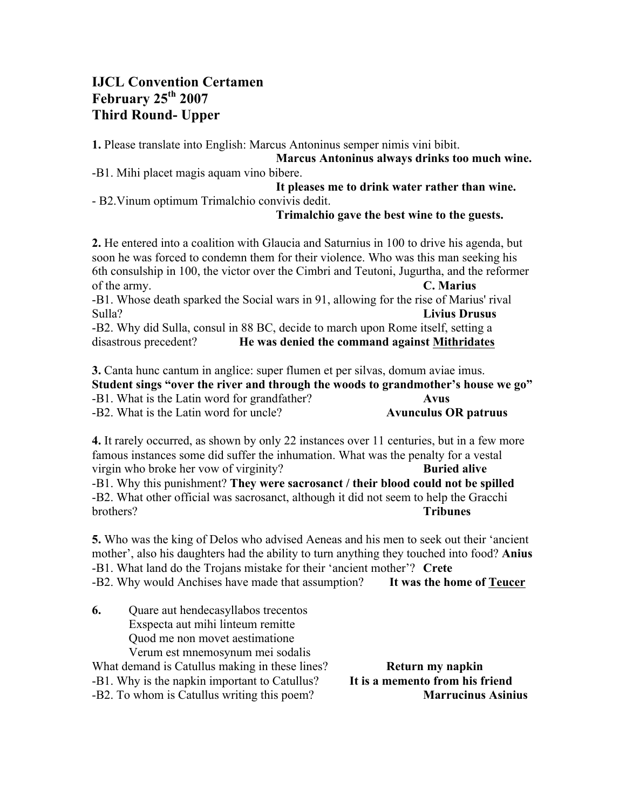# **IJCL Convention Certamen February 25th 2007 Third Round- Upper**

**1.** Please translate into English: Marcus Antoninus semper nimis vini bibit.

**Marcus Antoninus always drinks too much wine.**

-B1. Mihi placet magis aquam vino bibere.

**It pleases me to drink water rather than wine.**

- B2.Vinum optimum Trimalchio convivis dedit.

# **Trimalchio gave the best wine to the guests.**

**2.** He entered into a coalition with Glaucia and Saturnius in 100 to drive his agenda, but soon he was forced to condemn them for their violence. Who was this man seeking his 6th consulship in 100, the victor over the Cimbri and Teutoni, Jugurtha, and the reformer of the army. **C. Marius**

-B1. Whose death sparked the Social wars in 91, allowing for the rise of Marius' rival Sulla? **Livius Drusus**

-B2. Why did Sulla, consul in 88 BC, decide to march upon Rome itself, setting a disastrous precedent? **He was denied the command against Mithridates**

**3.** Canta hunc cantum in anglice: super flumen et per silvas, domum aviae imus. **Student sings "over the river and through the woods to grandmother's house we go"** -B1. What is the Latin word for grandfather? **Avus** -B2. What is the Latin word for uncle? **Avunculus OR patruus**

**4.** It rarely occurred, as shown by only 22 instances over 11 centuries, but in a few more famous instances some did suffer the inhumation. What was the penalty for a vestal virgin who broke her vow of virginity? **Buried alive** -B1. Why this punishment? **They were sacrosanct / their blood could not be spilled** -B2. What other official was sacrosanct, although it did not seem to help the Gracchi brothers? **Tribunes**

**5.** Who was the king of Delos who advised Aeneas and his men to seek out their 'ancient mother', also his daughters had the ability to turn anything they touched into food? **Anius** -B1. What land do the Trojans mistake for their 'ancient mother'? **Crete** -B2. Why would Anchises have made that assumption? **It was the home of Teucer**

**6.** Quare aut hendecasyllabos trecentos Exspecta aut mihi linteum remitte Quod me non movet aestimatione Verum est mnemosynum mei sodalis What demand is Catullus making in these lines?<br>**Return my napkin** -B1. Why is the napkin important to Catullus? **It is a memento from his friend** -B2. To whom is Catullus writing this poem? **Marrucinus Asinius**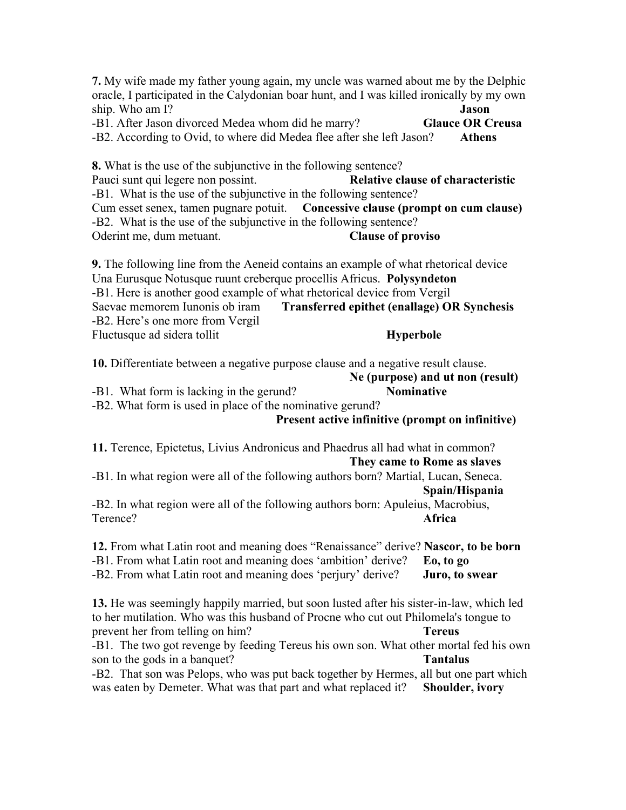**7.** My wife made my father young again, my uncle was warned about me by the Delphic oracle, I participated in the Calydonian boar hunt, and I was killed ironically by my own ship. Who am I? **Jason** -B1. After Jason divorced Medea whom did he marry? **Glauce OR Creusa** -B2. According to Ovid, to where did Medea flee after she left Jason? **Athens 8.** What is the use of the subjunctive in the following sentence? Pauci sunt qui legere non possint. **Relative clause of characteristic** -B1. What is the use of the subjunctive in the following sentence? Cum esset senex, tamen pugnare potuit. **Concessive clause (prompt on cum clause)** -B2. What is the use of the subjunctive in the following sentence? Oderint me, dum metuant. **Clause of proviso 9.** The following line from the Aeneid contains an example of what rhetorical device Una Eurusque Notusque ruunt creberque procellis Africus. **Polysyndeton** -B1. Here is another good example of what rhetorical device from Vergil Saevae memorem Iunonis ob iram **Transferred epithet (enallage) OR Synchesis** -B2. Here's one more from Vergil Fluctusque ad sidera tollit **Hyperbole 10.** Differentiate between a negative purpose clause and a negative result clause. **Ne (purpose) and ut non (result)** -B1. What form is lacking in the gerund? **Nominative** -B2. What form is used in place of the nominative gerund? **Present active infinitive (prompt on infinitive) 11.** Terence, Epictetus, Livius Andronicus and Phaedrus all had what in common? **They came to Rome as slaves** -B1. In what region were all of the following authors born? Martial, Lucan, Seneca. **Spain/Hispania** -B2. In what region were all of the following authors born: Apuleius, Macrobius, Terence? **Africa 12.** From what Latin root and meaning does "Renaissance" derive? **Nascor, to be born** -B1. From what Latin root and meaning does 'ambition' derive? **Eo, to go** -B2. From what Latin root and meaning does 'perjury' derive? **Juro, to swear 13.** He was seemingly happily married, but soon lusted after his sister-in-law, which led to her mutilation. Who was this husband of Procne who cut out Philomela's tongue to prevent her from telling on him? **Tereus** -B1. The two got revenge by feeding Tereus his own son. What other mortal fed his own son to the gods in a banquet? **Tantalus** -B2. That son was Pelops, who was put back together by Hermes, all but one part which was eaten by Demeter. What was that part and what replaced it? **Shoulder, ivory**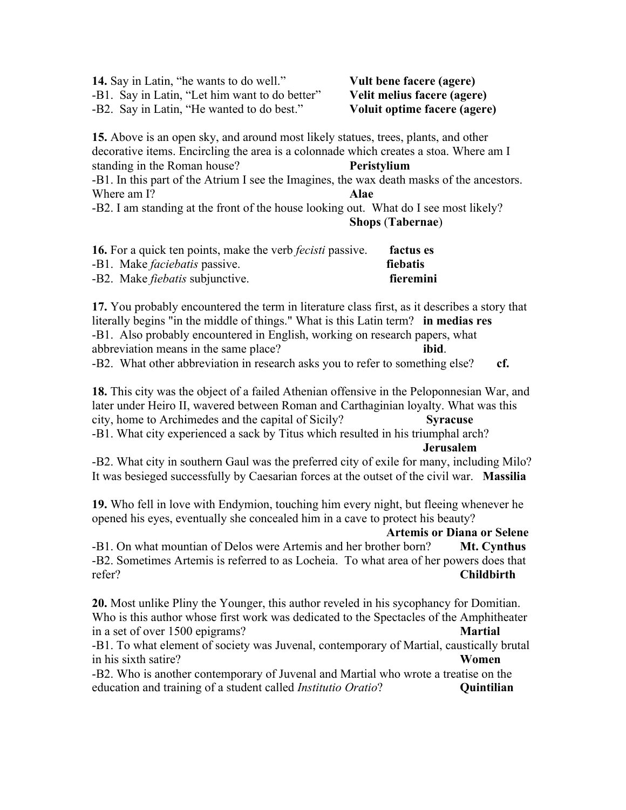**14.** Say in Latin, "he wants to do well." **Vult bene facere (agere)** -B1. Say in Latin, "Let him want to do better" **Velit melius facere (agere)** -B2. Say in Latin, "He wanted to do best." **Voluit optime facere (agere)**

**15.** Above is an open sky, and around most likely statues, trees, plants, and other decorative items. Encircling the area is a colonnade which creates a stoa. Where am I standing in the Roman house? **Peristylium** -B1. In this part of the Atrium I see the Imagines, the wax death masks of the ancestors. Where am I? **Alae** -B2. I am standing at the front of the house looking out. What do I see most likely? **Shops** (**Tabernae**)

| <b>16.</b> For a quick ten points, make the verb <i>fecisti</i> passive. | factus es |
|--------------------------------------------------------------------------|-----------|
| -B1. Make <i>faciebatis</i> passive.                                     | fiebatis  |
| -B2. Make <i>fiebatis</i> subjunctive.                                   | fieremini |

**17.** You probably encountered the term in literature class first, as it describes a story that literally begins "in the middle of things." What is this Latin term? **in medias res** -B1. Also probably encountered in English, working on research papers, what abbreviation means in the same place? **ibid**.

-B2. What other abbreviation in research asks you to refer to something else? **cf.** 

**18.** This city was the object of a failed Athenian offensive in the Peloponnesian War, and later under Heiro II, wavered between Roman and Carthaginian loyalty. What was this city, home to Archimedes and the capital of Sicily? **Syracuse**

-B1. What city experienced a sack by Titus which resulted in his triumphal arch? **Jerusalem**

-B2. What city in southern Gaul was the preferred city of exile for many, including Milo? It was besieged successfully by Caesarian forces at the outset of the civil war. **Massilia**

**19.** Who fell in love with Endymion, touching him every night, but fleeing whenever he opened his eyes, eventually she concealed him in a cave to protect his beauty?

#### **Artemis or Diana or Selene**

-B1. On what mountian of Delos were Artemis and her brother born? **Mt. Cynthus** -B2. Sometimes Artemis is referred to as Locheia. To what area of her powers does that refer? **Childbirth**

**20.** Most unlike Pliny the Younger, this author reveled in his sycophancy for Domitian. Who is this author whose first work was dedicated to the Spectacles of the Amphitheater in a set of over 1500 epigrams? **Martial**

-B1. To what element of society was Juvenal, contemporary of Martial, caustically brutal in his sixth satire? **Women**

-B2. Who is another contemporary of Juvenal and Martial who wrote a treatise on the education and training of a student called *Institutio Oratio*? **Quintilian**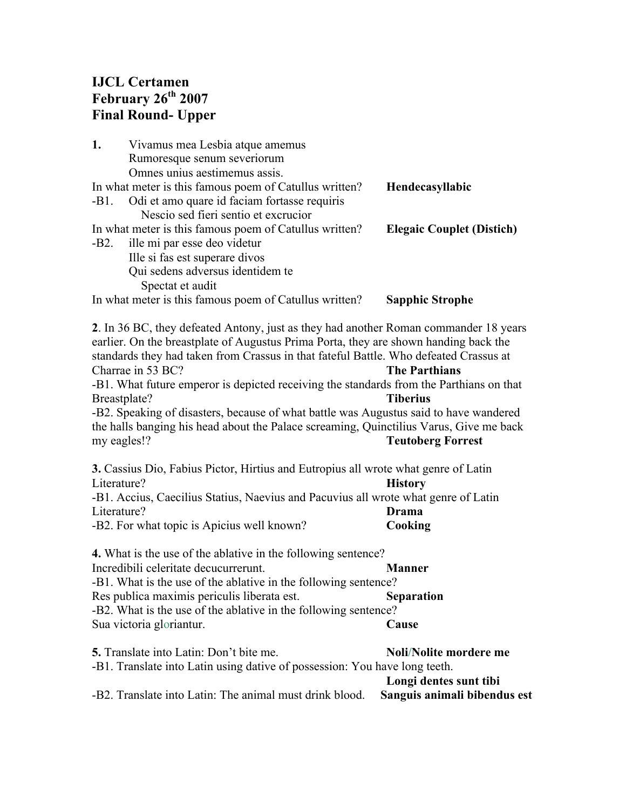# **IJCL Certamen February 26th 2007 Final Round- Upper**

| 1.                          | Vivamus mea Lesbia atque amemus<br>Rumoresque senum severiorum<br>Omnes unius aestimemus assis.                                                                                                                                                                                                                                                                                                                                                                                                                                                                          |                                                                     |
|-----------------------------|--------------------------------------------------------------------------------------------------------------------------------------------------------------------------------------------------------------------------------------------------------------------------------------------------------------------------------------------------------------------------------------------------------------------------------------------------------------------------------------------------------------------------------------------------------------------------|---------------------------------------------------------------------|
|                             | In what meter is this famous poem of Catullus written?<br>-B1. Odi et amo quare id faciam fortasse requiris<br>Nescio sed fieri sentio et excrucior                                                                                                                                                                                                                                                                                                                                                                                                                      | Hendecasyllabic                                                     |
|                             | In what meter is this famous poem of Catullus written?<br>-B2. ille mi par esse deo videtur                                                                                                                                                                                                                                                                                                                                                                                                                                                                              | <b>Elegaic Couplet (Distich)</b>                                    |
|                             | Ille si fas est superare divos<br>Qui sedens adversus identidem te<br>Spectat et audit                                                                                                                                                                                                                                                                                                                                                                                                                                                                                   |                                                                     |
|                             | In what meter is this famous poem of Catullus written?                                                                                                                                                                                                                                                                                                                                                                                                                                                                                                                   | <b>Sapphic Strophe</b>                                              |
| Breastplate?<br>my eagles!? | 2. In 36 BC, they defeated Antony, just as they had another Roman commander 18 years<br>earlier. On the breastplate of Augustus Prima Porta, they are shown handing back the<br>standards they had taken from Crassus in that fateful Battle. Who defeated Crassus at<br>Charrae in 53 BC?<br>-B1. What future emperor is depicted receiving the standards from the Parthians on that<br>-B2. Speaking of disasters, because of what battle was Augustus said to have wandered<br>the halls banging his head about the Palace screaming, Quinctilius Varus, Give me back | <b>The Parthians</b><br><b>Tiberius</b><br><b>Teutoberg Forrest</b> |
| Literature?                 | 3. Cassius Dio, Fabius Pictor, Hirtius and Eutropius all wrote what genre of Latin                                                                                                                                                                                                                                                                                                                                                                                                                                                                                       | <b>History</b>                                                      |
| Literature?                 | -B1. Accius, Caecilius Statius, Naevius and Pacuvius all wrote what genre of Latin                                                                                                                                                                                                                                                                                                                                                                                                                                                                                       | Drama                                                               |
|                             | -B2. For what topic is Apicius well known?                                                                                                                                                                                                                                                                                                                                                                                                                                                                                                                               | Cooking                                                             |
|                             | <b>4.</b> What is the use of the ablative in the following sentence?<br>Incredibili celeritate decucurrerunt.<br>-B1. What is the use of the ablative in the following sentence?                                                                                                                                                                                                                                                                                                                                                                                         | <b>Manner</b>                                                       |
|                             | Res publica maximis periculis liberata est.<br>-B2. What is the use of the ablative in the following sentence?                                                                                                                                                                                                                                                                                                                                                                                                                                                           | Separation                                                          |
|                             | Sua victoria gloriantur.                                                                                                                                                                                                                                                                                                                                                                                                                                                                                                                                                 | Cause                                                               |
|                             | <b>5.</b> Translate into Latin: Don't bite me.<br>-B1. Translate into Latin using dative of possession: You have long teeth.                                                                                                                                                                                                                                                                                                                                                                                                                                             | <b>Noli/Nolite mordere me</b>                                       |
|                             | -B2. Translate into Latin: The animal must drink blood.                                                                                                                                                                                                                                                                                                                                                                                                                                                                                                                  | Longi dentes sunt tibi<br>Sanguis animali bibendus est              |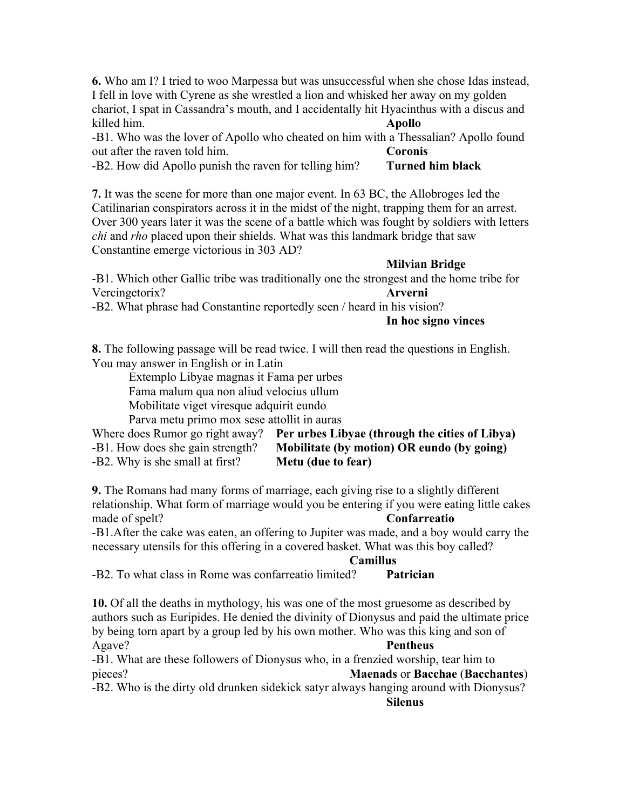**6.** Who am I? I tried to woo Marpessa but was unsuccessful when she chose Idas instead, I fell in love with Cyrene as she wrestled a lion and whisked her away on my golden chariot, I spat in Cassandra's mouth, and I accidentally hit Hyacinthus with a discus and killed him. **Apollo**

-B1. Who was the lover of Apollo who cheated on him with a Thessalian? Apollo found out after the raven told him. **Coronis**

-B2. How did Apollo punish the raven for telling him? **Turned him black**

**7.** It was the scene for more than one major event. In 63 BC, the Allobroges led the Catilinarian conspirators across it in the midst of the night, trapping them for an arrest. Over 300 years later it was the scene of a battle which was fought by soldiers with letters *chi* and *rho* placed upon their shields. What was this landmark bridge that saw Constantine emerge victorious in 303 AD?

## **Milvian Bridge**

-B1. Which other Gallic tribe was traditionally one the strongest and the home tribe for Vercingetorix? **Arverni**

-B2. What phrase had Constantine reportedly seen / heard in his vision?

### **In hoc signo vinces**

**8.** The following passage will be read twice. I will then read the questions in English. You may answer in English or in Latin

Extemplo Libyae magnas it Fama per urbes

Fama malum qua non aliud velocius ullum

Mobilitate viget viresque adquirit eundo

Parva metu primo mox sese attollit in auras

|                                  | Where does Rumor go right away? Per urbes Libyae (through the cities of Libya) |
|----------------------------------|--------------------------------------------------------------------------------|
| -B1. How does she gain strength? | Mobilitate (by motion) OR eundo (by going)                                     |

-B2. Why is she small at first? **Metu (due to fear)**

**9.** The Romans had many forms of marriage, each giving rise to a slightly different relationship. What form of marriage would you be entering if you were eating little cakes made of spelt? **Confarreatio**

-B1.After the cake was eaten, an offering to Jupiter was made, and a boy would carry the necessary utensils for this offering in a covered basket. What was this boy called?

## **Camillus**

-B2. To what class in Rome was confarreatio limited? **Patrician**

**10.** Of all the deaths in mythology, his was one of the most gruesome as described by authors such as Euripides. He denied the divinity of Dionysus and paid the ultimate price by being torn apart by a group led by his own mother. Who was this king and son of Agave? **Pentheus**

-B1. What are these followers of Dionysus who, in a frenzied worship, tear him to pieces? **Maenads** or **Bacchae** (**Bacchantes**)

-B2. Who is the dirty old drunken sidekick satyr always hanging around with Dionysus? **Silenus**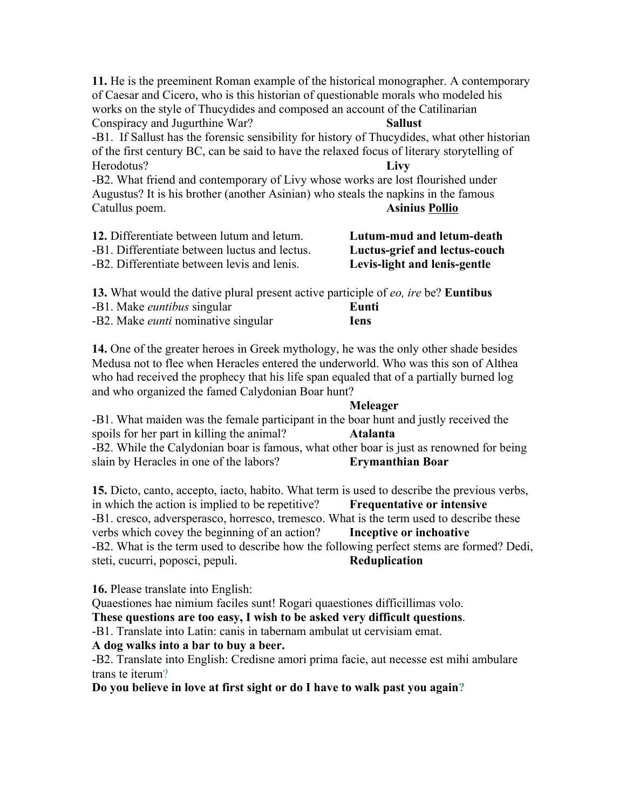**11.** He is the preeminent Roman example of the historical monographer. A contemporary of Caesar and Cicero, who is this historian of questionable morals who modeled his works on the style of Thucydides and composed an account of the Catilinarian Conspiracy and Jugurthine War? **Sallust**

-B1. If Sallust has the forensic sensibility for history of Thucydides, what other historian of the first century BC, can be said to have the relaxed focus of literary storytelling of Herodotus? **Livy**

-B2. What friend and contemporary of Livy whose works are lost flourished under Augustus? It is his brother (another Asinian) who steals the napkins in the famous Catullus poem. **Asinius Pollio**

| 12. Differentiate between lutum and letum.    | Lutum-mud and letum-death     |
|-----------------------------------------------|-------------------------------|
| -B1. Differentiate between luctus and lectus. | Luctus-grief and lectus-couch |
| -B2. Differentiate between levis and lenis.   | Levis-light and lenis-gentle  |

**13.** What would the dative plural present active participle of *eo, ire* be? **Euntibus** -B1. Make *euntibus* singular **Eunti** -B2. Make *eunti* nominative singular **Iens**

**14.** One of the greater heroes in Greek mythology, he was the only other shade besides Medusa not to flee when Heracles entered the underworld. Who was this son of Althea who had received the prophecy that his life span equaled that of a partially burned log and who organized the famed Calydonian Boar hunt?

### **Meleager**

-B1. What maiden was the female participant in the boar hunt and justly received the spoils for her part in killing the animal? **Atalanta**

-B2. While the Calydonian boar is famous, what other boar is just as renowned for being slain by Heracles in one of the labors? **Erymanthian Boar**

**15.** Dicto, canto, accepto, iacto, habito. What term is used to describe the previous verbs, in which the action is implied to be repetitive? **Frequentative or intensive** -B1. cresco, adversperasco, horresco, tremesco. What is the term used to describe these verbs which covey the beginning of an action? **Inceptive or inchoative** -B2. What is the term used to describe how the following perfect stems are formed? Dedi, steti, cucurri, poposci, pepuli. **Reduplication** 

**16.** Please translate into English:

Quaestiones hae nimium faciles sunt! Rogari quaestiones difficillimas volo.

**These questions are too easy, I wish to be asked very difficult questions**.

-B1. Translate into Latin: canis in tabernam ambulat ut cervisiam emat.

**A dog walks into a bar to buy a beer.**

-B2. Translate into English: Credisne amori prima facie, aut necesse est mihi ambulare trans te iterum?

**Do you believe in love at first sight or do I have to walk past you again?**